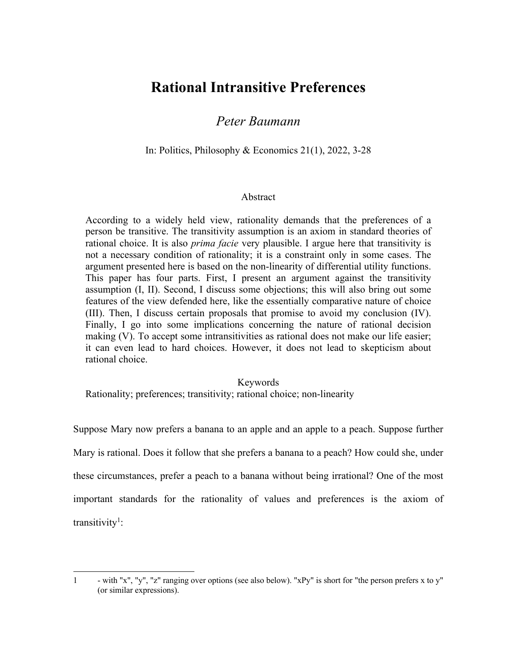# **Rational Intransitive Preferences**

## *Peter Baumann*

In: Politics, Philosophy & Economics 21(1), 2022, 3-28

#### Abstract

According to a widely held view, rationality demands that the preferences of a person be transitive. The transitivity assumption is an axiom in standard theories of rational choice. It is also *prima facie* very plausible. I argue here that transitivity is not a necessary condition of rationality; it is a constraint only in some cases. The argument presented here is based on the non-linearity of differential utility functions. This paper has four parts. First, I present an argument against the transitivity assumption (I, II). Second, I discuss some objections; this will also bring out some features of the view defended here, like the essentially comparative nature of choice (III). Then, I discuss certain proposals that promise to avoid my conclusion (IV). Finally, I go into some implications concerning the nature of rational decision making (V). To accept some intransitivities as rational does not make our life easier; it can even lead to hard choices. However, it does not lead to skepticism about rational choice.

## Keywords Rationality; preferences; transitivity; rational choice; non-linearity

Suppose Mary now prefers a banana to an apple and an apple to a peach. Suppose further Mary is rational. Does it follow that she prefers a banana to a peach? How could she, under these circumstances, prefer a peach to a banana without being irrational? One of the most important standards for the rationality of values and preferences is the axiom of transitivity<sup>1</sup>:

<sup>1</sup> - with "x", "y", "z" ranging over options (see also below). "xPy" is short for "the person prefers x to y" (or similar expressions).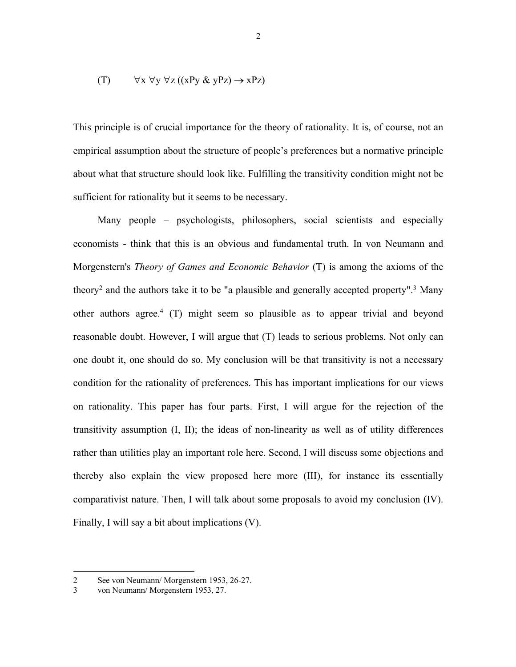$$
(T) \qquad \forall x \forall y \forall z ((xPy & yPz) \rightarrow xPz)
$$

This principle is of crucial importance for the theory of rationality. It is, of course, not an empirical assumption about the structure of people's preferences but a normative principle about what that structure should look like. Fulfilling the transitivity condition might not be sufficient for rationality but it seems to be necessary.

Many people – psychologists, philosophers, social scientists and especially economists - think that this is an obvious and fundamental truth. In von Neumann and Morgenstern's *Theory of Games and Economic Behavior* (T) is among the axioms of the theory<sup>2</sup> and the authors take it to be "a plausible and generally accepted property".<sup>3</sup> Many other authors agree.<sup>4</sup> (T) might seem so plausible as to appear trivial and beyond reasonable doubt. However, I will argue that (T) leads to serious problems. Not only can one doubt it, one should do so. My conclusion will be that transitivity is not a necessary condition for the rationality of preferences. This has important implications for our views on rationality. This paper has four parts. First, I will argue for the rejection of the transitivity assumption (I, II); the ideas of non-linearity as well as of utility differences rather than utilities play an important role here. Second, I will discuss some objections and thereby also explain the view proposed here more (III), for instance its essentially comparativist nature. Then, I will talk about some proposals to avoid my conclusion (IV). Finally, I will say a bit about implications (V).

<sup>2</sup> See von Neumann/ Morgenstern 1953, 26-27.

<sup>3</sup> von Neumann/ Morgenstern 1953, 27.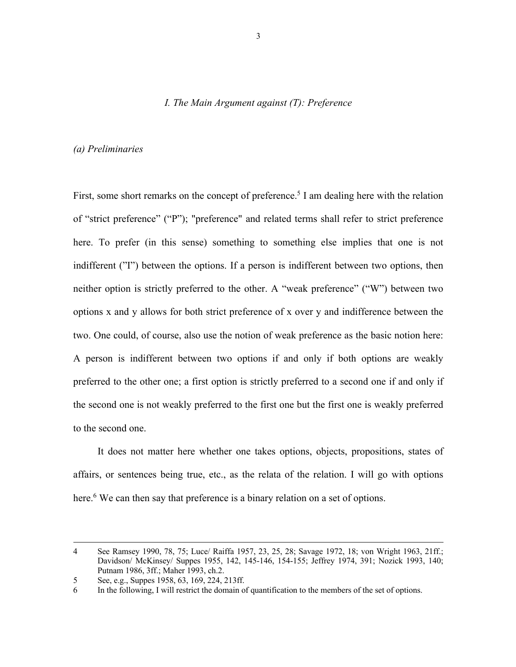## *I. The Main Argument against (T): Preference*

#### *(a) Preliminaries*

First, some short remarks on the concept of preference.<sup>5</sup> I am dealing here with the relation of "strict preference" ("P"); "preference" and related terms shall refer to strict preference here. To prefer (in this sense) something to something else implies that one is not indifferent ("I") between the options. If a person is indifferent between two options, then neither option is strictly preferred to the other. A "weak preference" ("W") between two options x and y allows for both strict preference of x over y and indifference between the two. One could, of course, also use the notion of weak preference as the basic notion here: A person is indifferent between two options if and only if both options are weakly preferred to the other one; a first option is strictly preferred to a second one if and only if the second one is not weakly preferred to the first one but the first one is weakly preferred to the second one.

It does not matter here whether one takes options, objects, propositions, states of affairs, or sentences being true, etc., as the relata of the relation. I will go with options here.<sup>6</sup> We can then say that preference is a binary relation on a set of options.

<sup>4</sup> See Ramsey 1990, 78, 75; Luce/ Raiffa 1957, 23, 25, 28; Savage 1972, 18; von Wright 1963, 21ff.; Davidson/ McKinsey/ Suppes 1955, 142, 145-146, 154-155; Jeffrey 1974, 391; Nozick 1993, 140; Putnam 1986, 3ff.; Maher 1993, ch.2.

<sup>5</sup> See, e.g., Suppes 1958, 63, 169, 224, 213ff.

<sup>6</sup> In the following, I will restrict the domain of quantification to the members of the set of options.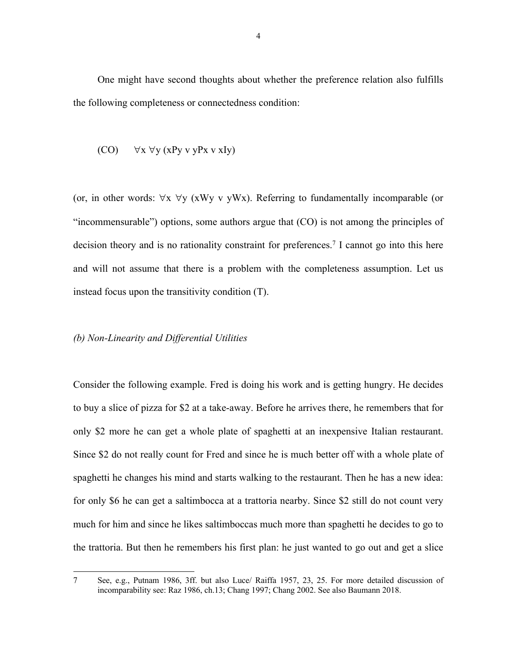One might have second thoughts about whether the preference relation also fulfills the following completeness or connectedness condition:

$$
(CO) \qquad \forall x \; \forall y \; (xPy \; v \; yPx \; v \; xIy)
$$

(or, in other words:  $\forall x \forall y$  (xWy v yWx). Referring to fundamentally incomparable (or "incommensurable") options, some authors argue that (CO) is not among the principles of decision theory and is no rationality constraint for preferences.<sup>7</sup> I cannot go into this here and will not assume that there is a problem with the completeness assumption. Let us instead focus upon the transitivity condition (T).

#### *(b) Non-Linearity and Differential Utilities*

Consider the following example. Fred is doing his work and is getting hungry. He decides to buy a slice of pizza for \$2 at a take-away. Before he arrives there, he remembers that for only \$2 more he can get a whole plate of spaghetti at an inexpensive Italian restaurant. Since \$2 do not really count for Fred and since he is much better off with a whole plate of spaghetti he changes his mind and starts walking to the restaurant. Then he has a new idea: for only \$6 he can get a saltimbocca at a trattoria nearby. Since \$2 still do not count very much for him and since he likes saltimboccas much more than spaghetti he decides to go to the trattoria. But then he remembers his first plan: he just wanted to go out and get a slice

<sup>7</sup> See, e.g., Putnam 1986, 3ff. but also Luce/ Raiffa 1957, 23, 25. For more detailed discussion of incomparability see: Raz 1986, ch.13; Chang 1997; Chang 2002. See also Baumann 2018.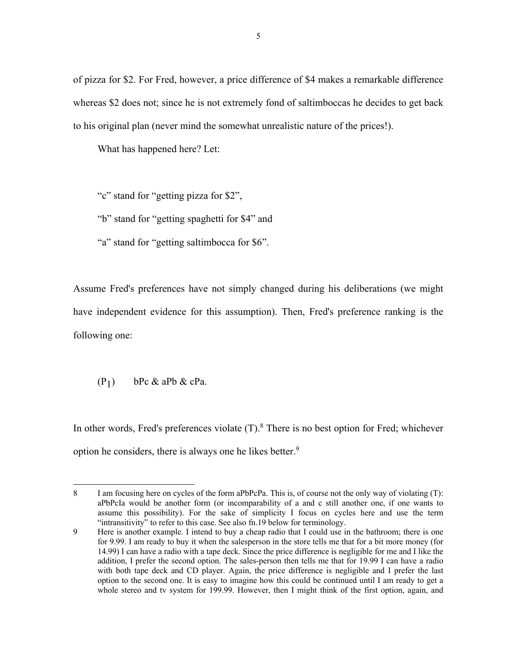of pizza for \$2. For Fred, however, a price difference of \$4 makes a remarkable difference whereas \$2 does not; since he is not extremely fond of saltimboccas he decides to get back to his original plan (never mind the somewhat unrealistic nature of the prices!).

What has happened here? Let:

"c" stand for "getting pizza for \$2",

"b" stand for "getting spaghetti for \$4" and

"a" stand for "getting saltimbocca for \$6".

Assume Fred's preferences have not simply changed during his deliberations (we might have independent evidence for this assumption). Then, Fred's preference ranking is the following one:

$$
(P_1) \qquad bPc \& aPb \& cPa.
$$

In other words, Fred's preferences violate  $(T)$ .<sup>8</sup> There is no best option for Fred; whichever option he considers, there is always one he likes better.<sup>9</sup>

<sup>8</sup> I am focusing here on cycles of the form aPbPcPa. This is, of course not the only way of violating (T): aPbPcIa would be another form (or incomparability of a and c still another one, if one wants to assume this possibility). For the sake of simplicity I focus on cycles here and use the term "intransitivity" to refer to this case. See also fn.19 below for terminology.

<sup>9</sup> Here is another example. I intend to buy a cheap radio that I could use in the bathroom; there is one for 9.99. I am ready to buy it when the salesperson in the store tells me that for a bit more money (for 14.99) I can have a radio with a tape deck. Since the price difference is negligible for me and I like the addition, I prefer the second option. The sales-person then tells me that for 19.99 I can have a radio with both tape deck and CD player. Again, the price difference is negligible and I prefer the last option to the second one. It is easy to imagine how this could be continued until I am ready to get a whole stereo and tv system for 199.99. However, then I might think of the first option, again, and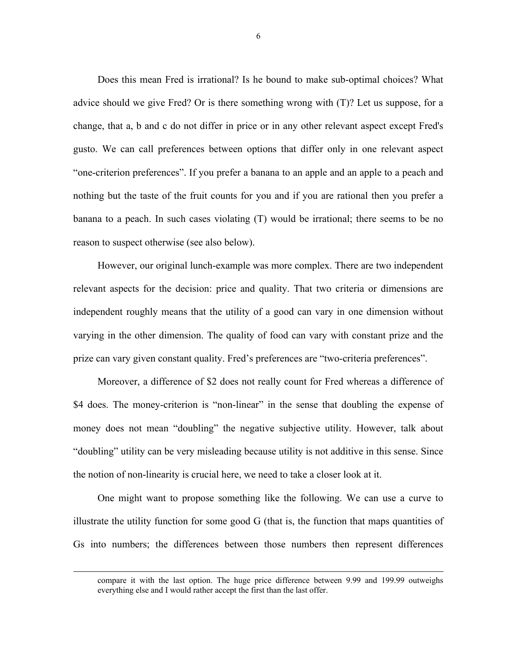Does this mean Fred is irrational? Is he bound to make sub-optimal choices? What advice should we give Fred? Or is there something wrong with (T)? Let us suppose, for a change, that a, b and c do not differ in price or in any other relevant aspect except Fred's gusto. We can call preferences between options that differ only in one relevant aspect "one-criterion preferences". If you prefer a banana to an apple and an apple to a peach and nothing but the taste of the fruit counts for you and if you are rational then you prefer a banana to a peach. In such cases violating (T) would be irrational; there seems to be no reason to suspect otherwise (see also below).

However, our original lunch-example was more complex. There are two independent relevant aspects for the decision: price and quality. That two criteria or dimensions are independent roughly means that the utility of a good can vary in one dimension without varying in the other dimension. The quality of food can vary with constant prize and the prize can vary given constant quality. Fred's preferences are "two-criteria preferences".

Moreover, a difference of \$2 does not really count for Fred whereas a difference of \$4 does. The money-criterion is "non-linear" in the sense that doubling the expense of money does not mean "doubling" the negative subjective utility. However, talk about "doubling" utility can be very misleading because utility is not additive in this sense. Since the notion of non-linearity is crucial here, we need to take a closer look at it.

One might want to propose something like the following. We can use a curve to illustrate the utility function for some good G (that is, the function that maps quantities of Gs into numbers; the differences between those numbers then represent differences

6

compare it with the last option. The huge price difference between 9.99 and 199.99 outweighs everything else and I would rather accept the first than the last offer.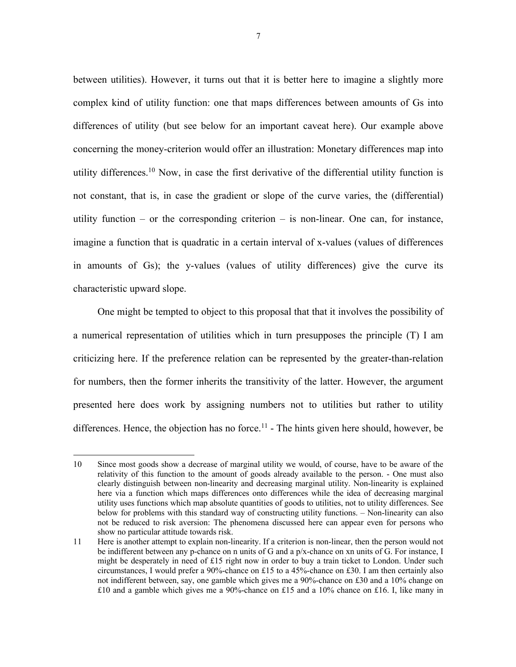between utilities). However, it turns out that it is better here to imagine a slightly more complex kind of utility function: one that maps differences between amounts of Gs into differences of utility (but see below for an important caveat here). Our example above concerning the money-criterion would offer an illustration: Monetary differences map into utility differences.10 Now, in case the first derivative of the differential utility function is not constant, that is, in case the gradient or slope of the curve varies, the (differential) utility function – or the corresponding criterion – is non-linear. One can, for instance, imagine a function that is quadratic in a certain interval of x-values (values of differences in amounts of Gs); the y-values (values of utility differences) give the curve its characteristic upward slope.

One might be tempted to object to this proposal that that it involves the possibility of a numerical representation of utilities which in turn presupposes the principle (T) I am criticizing here. If the preference relation can be represented by the greater-than-relation for numbers, then the former inherits the transitivity of the latter. However, the argument presented here does work by assigning numbers not to utilities but rather to utility differences. Hence, the objection has no force.<sup>11</sup> - The hints given here should, however, be

<sup>10</sup> Since most goods show a decrease of marginal utility we would, of course, have to be aware of the relativity of this function to the amount of goods already available to the person. - One must also clearly distinguish between non-linearity and decreasing marginal utility. Non-linearity is explained here via a function which maps differences onto differences while the idea of decreasing marginal utility uses functions which map absolute quantities of goods to utilities, not to utility differences. See below for problems with this standard way of constructing utility functions. – Non-linearity can also not be reduced to risk aversion: The phenomena discussed here can appear even for persons who show no particular attitude towards risk.

<sup>11</sup> Here is another attempt to explain non-linearity. If a criterion is non-linear, then the person would not be indifferent between any p-chance on n units of G and a p/x-chance on xn units of G. For instance, I might be desperately in need of £15 right now in order to buy a train ticket to London. Under such circumstances, I would prefer a 90%-chance on £15 to a 45%-chance on £30. I am then certainly also not indifferent between, say, one gamble which gives me a 90%-chance on £30 and a 10% change on  $\pounds10$  and a gamble which gives me a 90%-chance on  $\pounds15$  and a 10% chance on  $\pounds16$ . I, like many in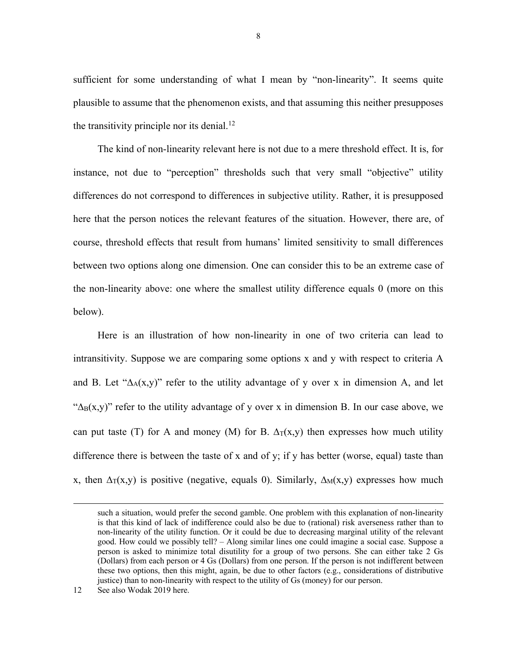sufficient for some understanding of what I mean by "non-linearity". It seems quite plausible to assume that the phenomenon exists, and that assuming this neither presupposes the transitivity principle nor its denial.<sup>12</sup>

The kind of non-linearity relevant here is not due to a mere threshold effect. It is, for instance, not due to "perception" thresholds such that very small "objective" utility differences do not correspond to differences in subjective utility. Rather, it is presupposed here that the person notices the relevant features of the situation. However, there are, of course, threshold effects that result from humans' limited sensitivity to small differences between two options along one dimension. One can consider this to be an extreme case of the non-linearity above: one where the smallest utility difference equals 0 (more on this below).

Here is an illustration of how non-linearity in one of two criteria can lead to intransitivity. Suppose we are comparing some options x and y with respect to criteria A and B. Let " $\Delta_A(x,y)$ " refer to the utility advantage of y over x in dimension A, and let " $\Delta_B(x,y)$ " refer to the utility advantage of y over x in dimension B. In our case above, we can put taste (T) for A and money (M) for B.  $\Delta_T(x,y)$  then expresses how much utility difference there is between the taste of x and of y; if y has better (worse, equal) taste than x, then  $\Delta_T(x,y)$  is positive (negative, equals 0). Similarly,  $\Delta_M(x,y)$  expresses how much

such a situation, would prefer the second gamble. One problem with this explanation of non-linearity is that this kind of lack of indifference could also be due to (rational) risk averseness rather than to non-linearity of the utility function. Or it could be due to decreasing marginal utility of the relevant good. How could we possibly tell? – Along similar lines one could imagine a social case. Suppose a person is asked to minimize total disutility for a group of two persons. She can either take 2 Gs (Dollars) from each person or 4 Gs (Dollars) from one person. If the person is not indifferent between these two options, then this might, again, be due to other factors (e.g., considerations of distributive justice) than to non-linearity with respect to the utility of Gs (money) for our person.

<sup>12</sup> See also Wodak 2019 here.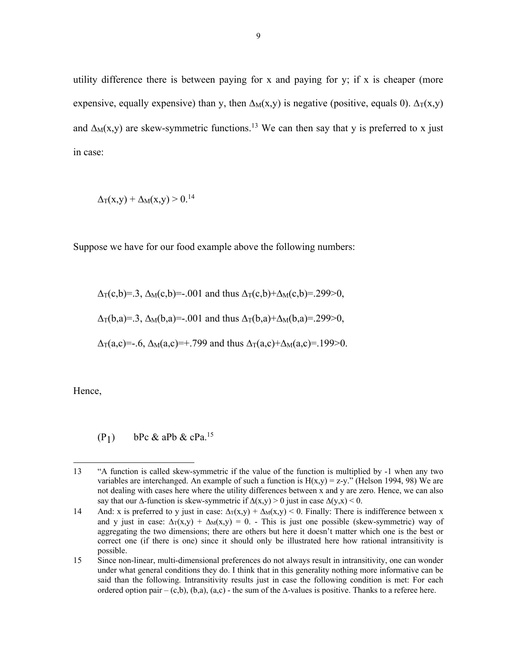utility difference there is between paying for x and paying for y; if x is cheaper (more expensive, equally expensive) than y, then  $\Delta_M(x,y)$  is negative (positive, equals 0).  $\Delta_T(x,y)$ and  $\Delta_M(x,y)$  are skew-symmetric functions.<sup>13</sup> We can then say that y is preferred to x just in case:

 $\Delta_{\rm T}(x,y) + \Delta_{\rm M}(x,y) > 0.14$ 

Suppose we have for our food example above the following numbers:

$$
\Delta_{T}(c,b)=.3
$$
,  $\Delta_{M}(c,b)=-.001$  and thus  $\Delta_{T}(c,b)+\Delta_{M}(c,b)=.299>0$ ,  
 $\Delta_{T}(b,a)=.3$ ,  $\Delta_{M}(b,a)=-.001$  and thus  $\Delta_{T}(b,a)+\Delta_{M}(b,a)=.299>0$ ,  
 $\Delta_{T}(a,c)=-.6$ ,  $\Delta_{M}(a,c)=+.799$  and thus  $\Delta_{T}(a,c)+\Delta_{M}(a,c)=.199>0$ .

Hence,

 $(P_1)$  bPc & aPb & cPa.<sup>15</sup>

<sup>13</sup> "A function is called skew-symmetric if the value of the function is multiplied by -1 when any two variables are interchanged. An example of such a function is  $H(x,y) = z-y$ ." (Helson 1994, 98) We are not dealing with cases here where the utility differences between x and y are zero. Hence, we can also say that our  $\Delta$ -function is skew-symmetric if  $\Delta(x,y) > 0$  just in case  $\Delta(y,x) < 0$ .

<sup>14</sup> And: x is preferred to y just in case:  $\Delta T(x,y) + \Delta M(x,y) < 0$ . Finally: There is indifference between x and y just in case:  $\Delta_{T}(x,y) + \Delta_{M}(x,y) = 0$ . - This is just one possible (skew-symmetric) way of aggregating the two dimensions; there are others but here it doesn't matter which one is the best or correct one (if there is one) since it should only be illustrated here how rational intransitivity is possible.

<sup>15</sup> Since non-linear, multi-dimensional preferences do not always result in intransitivity, one can wonder under what general conditions they do. I think that in this generality nothing more informative can be said than the following. Intransitivity results just in case the following condition is met: For each ordered option pair – (c,b), (b,a), (a,c) - the sum of the  $\Delta$ -values is positive. Thanks to a referee here.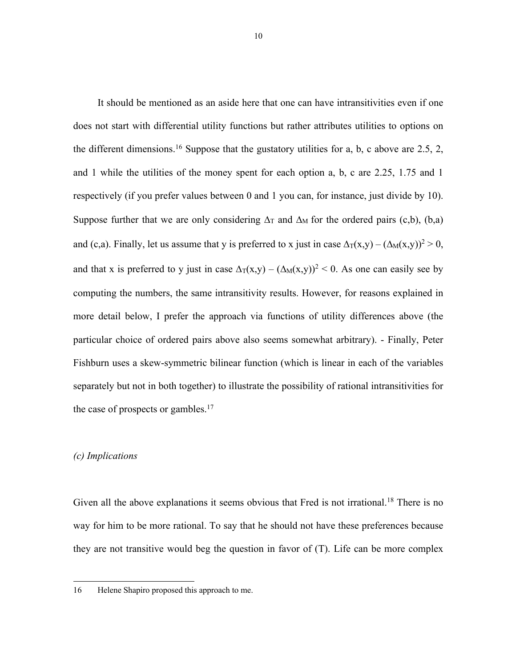It should be mentioned as an aside here that one can have intransitivities even if one does not start with differential utility functions but rather attributes utilities to options on the different dimensions.<sup>16</sup> Suppose that the gustatory utilities for a, b, c above are 2.5, 2, and 1 while the utilities of the money spent for each option a, b, c are 2.25, 1.75 and 1 respectively (if you prefer values between 0 and 1 you can, for instance, just divide by 10). Suppose further that we are only considering  $\Delta_T$  and  $\Delta_M$  for the ordered pairs (c,b), (b,a) and (c,a). Finally, let us assume that y is preferred to x just in case  $\Delta_T(x,y) - (\Delta_M(x,y))^2 > 0$ , and that x is preferred to y just in case  $\Delta_T(x,y) - (\Delta_M(x,y))^2 < 0$ . As one can easily see by computing the numbers, the same intransitivity results. However, for reasons explained in more detail below, I prefer the approach via functions of utility differences above (the particular choice of ordered pairs above also seems somewhat arbitrary). - Finally, Peter Fishburn uses a skew-symmetric bilinear function (which is linear in each of the variables separately but not in both together) to illustrate the possibility of rational intransitivities for the case of prospects or gambles. $17$ 

#### *(c) Implications*

Given all the above explanations it seems obvious that Fred is not irrational.<sup>18</sup> There is no way for him to be more rational. To say that he should not have these preferences because they are not transitive would beg the question in favor of (T). Life can be more complex

<sup>16</sup> Helene Shapiro proposed this approach to me.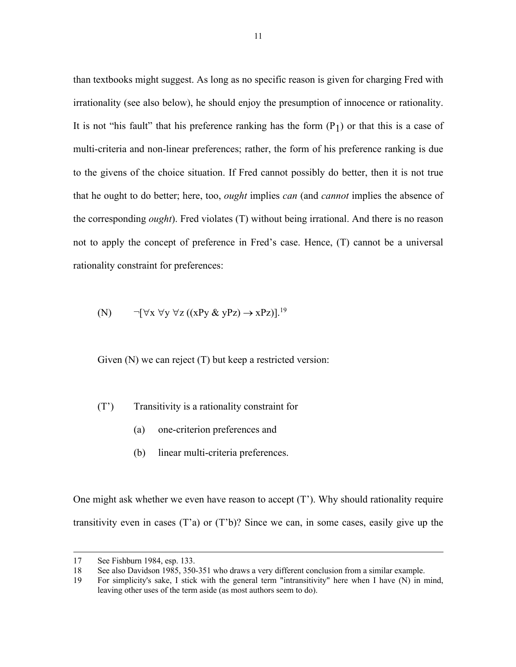than textbooks might suggest. As long as no specific reason is given for charging Fred with irrationality (see also below), he should enjoy the presumption of innocence or rationality. It is not "his fault" that his preference ranking has the form  $(P_1)$  or that this is a case of multi-criteria and non-linear preferences; rather, the form of his preference ranking is due to the givens of the choice situation. If Fred cannot possibly do better, then it is not true that he ought to do better; here, too, *ought* implies *can* (and *cannot* implies the absence of the corresponding *ought*). Fred violates (T) without being irrational. And there is no reason not to apply the concept of preference in Fred's case. Hence, (T) cannot be a universal rationality constraint for preferences:

(N) 
$$
\neg [\forall x \forall y \forall z ((xPy & yPz) \rightarrow xPz)].^{19}
$$

Given (N) we can reject (T) but keep a restricted version:

(T') Transitivity is a rationality constraint for

- (a) one-criterion preferences and
- (b) linear multi-criteria preferences.

One might ask whether we even have reason to accept (T'). Why should rationality require transitivity even in cases (T'a) or (T'b)? Since we can, in some cases, easily give up the

<sup>17</sup> See Fishburn 1984, esp. 133.

<sup>18</sup> See also Davidson 1985, 350-351 who draws a very different conclusion from a similar example.

<sup>19</sup> For simplicity's sake, I stick with the general term "intransitivity" here when I have (N) in mind, leaving other uses of the term aside (as most authors seem to do).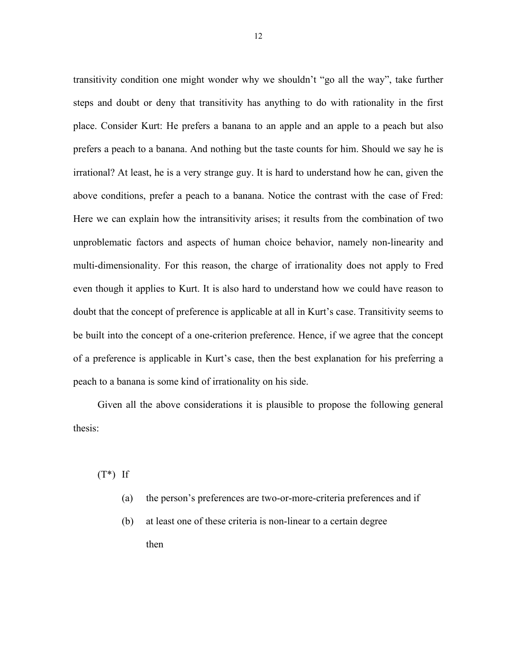transitivity condition one might wonder why we shouldn't "go all the way", take further steps and doubt or deny that transitivity has anything to do with rationality in the first place. Consider Kurt: He prefers a banana to an apple and an apple to a peach but also prefers a peach to a banana. And nothing but the taste counts for him. Should we say he is irrational? At least, he is a very strange guy. It is hard to understand how he can, given the above conditions, prefer a peach to a banana. Notice the contrast with the case of Fred: Here we can explain how the intransitivity arises; it results from the combination of two unproblematic factors and aspects of human choice behavior, namely non-linearity and multi-dimensionality. For this reason, the charge of irrationality does not apply to Fred even though it applies to Kurt. It is also hard to understand how we could have reason to doubt that the concept of preference is applicable at all in Kurt's case. Transitivity seems to be built into the concept of a one-criterion preference. Hence, if we agree that the concept of a preference is applicable in Kurt's case, then the best explanation for his preferring a peach to a banana is some kind of irrationality on his side.

Given all the above considerations it is plausible to propose the following general thesis:

 $(T^*)$  If

- (a) the person's preferences are two-or-more-criteria preferences and if
- (b) at least one of these criteria is non-linear to a certain degree then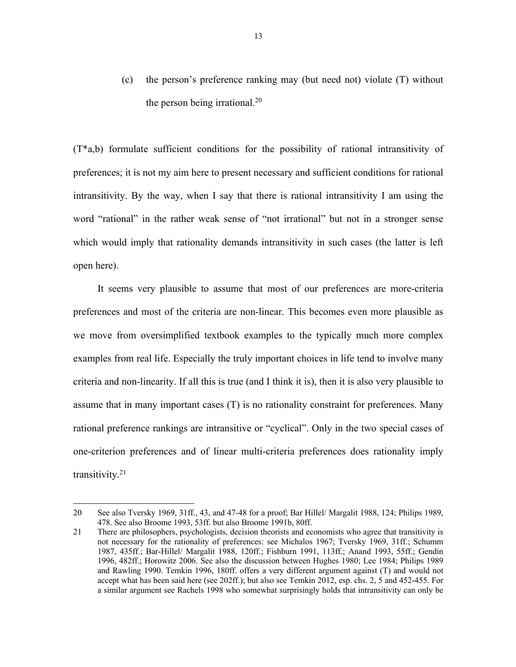(c) the person's preference ranking may (but need not) violate (T) without the person being irrational. $^{20}$ 

(T\*a,b) formulate sufficient conditions for the possibility of rational intransitivity of preferences; it is not my aim here to present necessary and sufficient conditions for rational intransitivity. By the way, when I say that there is rational intransitivity I am using the word "rational" in the rather weak sense of "not irrational" but not in a stronger sense which would imply that rationality demands intransitivity in such cases (the latter is left open here).

It seems very plausible to assume that most of our preferences are more-criteria preferences and most of the criteria are non-linear. This becomes even more plausible as we move from oversimplified textbook examples to the typically much more complex examples from real life. Especially the truly important choices in life tend to involve many criteria and non-linearity. If all this is true (and I think it is), then it is also very plausible to assume that in many important cases (T) is no rationality constraint for preferences. Many rational preference rankings are intransitive or "cyclical". Only in the two special cases of one-criterion preferences and of linear multi-criteria preferences does rationality imply transitivity.21

<sup>20</sup> See also Tversky 1969, 31ff., 43, and 47-48 for a proof; Bar Hillel/ Margalit 1988, 124; Philips 1989, 478. See also Broome 1993, 53ff. but also Broome 1991b, 80ff.

<sup>21</sup> There are philosophers, psychologists, decision theorists and economists who agree that transitivity is not necessary for the rationality of preferences: see Michalos 1967; Tversky 1969, 31ff.; Schumm 1987, 435ff.; Bar-Hillel/ Margalit 1988, 120ff.; Fishburn 1991, 113ff.; Anand 1993, 55ff.; Gendin 1996, 482ff.; Horowitz 2006. See also the discussion between Hughes 1980; Lee 1984; Philips 1989 and Rawling 1990. Temkin 1996, 180ff. offers a very different argument against (T) and would not accept what has been said here (see 202ff.); but also see Temkin 2012, esp. chs. 2, 5 and 452-455. For a similar argument see Rachels 1998 who somewhat surprisingly holds that intransitivity can only be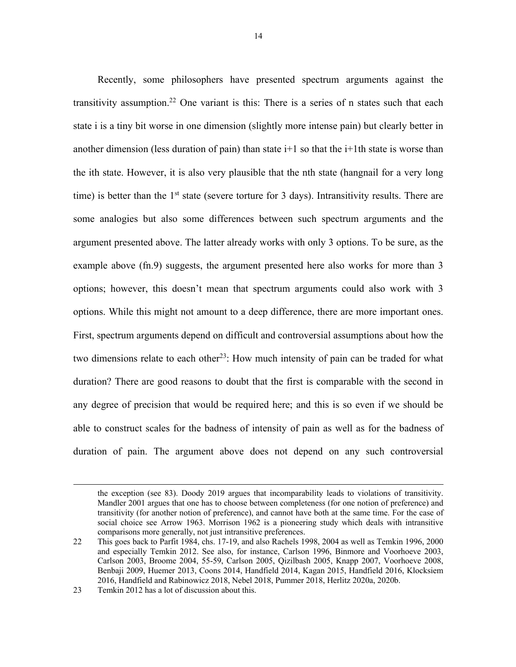Recently, some philosophers have presented spectrum arguments against the transitivity assumption.<sup>22</sup> One variant is this: There is a series of n states such that each state i is a tiny bit worse in one dimension (slightly more intense pain) but clearly better in another dimension (less duration of pain) than state  $i+1$  so that the  $i+1$ th state is worse than the ith state. However, it is also very plausible that the nth state (hangnail for a very long time) is better than the  $1<sup>st</sup>$  state (severe torture for 3 days). Intransitivity results. There are some analogies but also some differences between such spectrum arguments and the argument presented above. The latter already works with only 3 options. To be sure, as the example above (fn.9) suggests, the argument presented here also works for more than 3 options; however, this doesn't mean that spectrum arguments could also work with 3 options. While this might not amount to a deep difference, there are more important ones. First, spectrum arguments depend on difficult and controversial assumptions about how the two dimensions relate to each other<sup>23</sup>: How much intensity of pain can be traded for what duration? There are good reasons to doubt that the first is comparable with the second in any degree of precision that would be required here; and this is so even if we should be able to construct scales for the badness of intensity of pain as well as for the badness of duration of pain. The argument above does not depend on any such controversial

the exception (see 83). Doody 2019 argues that incomparability leads to violations of transitivity. Mandler 2001 argues that one has to choose between completeness (for one notion of preference) and transitivity (for another notion of preference), and cannot have both at the same time. For the case of social choice see Arrow 1963. Morrison 1962 is a pioneering study which deals with intransitive comparisons more generally, not just intransitive preferences.

<sup>22</sup> This goes back to Parfit 1984, chs. 17-19, and also Rachels 1998, 2004 as well as Temkin 1996, 2000 and especially Temkin 2012. See also, for instance, Carlson 1996, Binmore and Voorhoeve 2003, Carlson 2003, Broome 2004, 55-59, Carlson 2005, Qizilbash 2005, Knapp 2007, Voorhoeve 2008, Benbaji 2009, Huemer 2013, Coons 2014, Handfield 2014, Kagan 2015, Handfield 2016, Klocksiem 2016, Handfield and Rabinowicz 2018, Nebel 2018, Pummer 2018, Herlitz 2020a, 2020b.

<sup>23</sup> Temkin 2012 has a lot of discussion about this.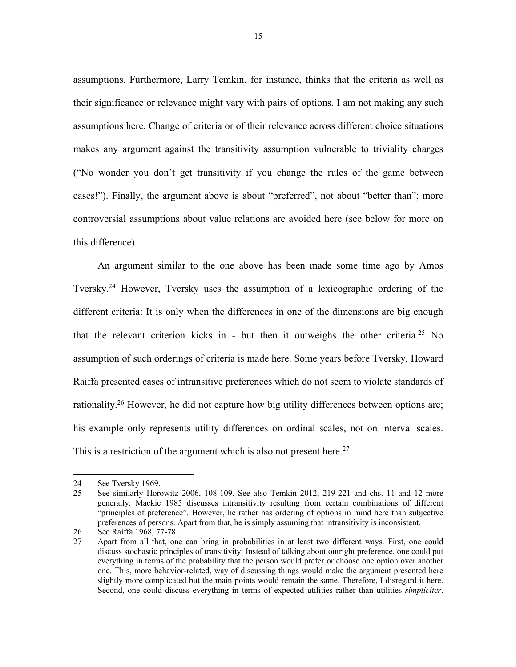assumptions. Furthermore, Larry Temkin, for instance, thinks that the criteria as well as their significance or relevance might vary with pairs of options. I am not making any such assumptions here. Change of criteria or of their relevance across different choice situations makes any argument against the transitivity assumption vulnerable to triviality charges ("No wonder you don't get transitivity if you change the rules of the game between cases!"). Finally, the argument above is about "preferred", not about "better than"; more controversial assumptions about value relations are avoided here (see below for more on this difference).

An argument similar to the one above has been made some time ago by Amos Tversky.24 However, Tversky uses the assumption of a lexicographic ordering of the different criteria: It is only when the differences in one of the dimensions are big enough that the relevant criterion kicks in - but then it outweighs the other criteria.25 No assumption of such orderings of criteria is made here. Some years before Tversky, Howard Raiffa presented cases of intransitive preferences which do not seem to violate standards of rationality.26 However, he did not capture how big utility differences between options are; his example only represents utility differences on ordinal scales, not on interval scales. This is a restriction of the argument which is also not present here.<sup>27</sup>

<sup>24</sup> See Tversky 1969.

<sup>25</sup> See similarly Horowitz 2006, 108-109. See also Temkin 2012, 219-221 and chs. 11 and 12 more generally. Mackie 1985 discusses intransitivity resulting from certain combinations of different "principles of preference". However, he rather has ordering of options in mind here than subjective preferences of persons. Apart from that, he is simply assuming that intransitivity is inconsistent.

<sup>26</sup> See Raiffa 1968, 77-78.

<sup>27</sup> Apart from all that, one can bring in probabilities in at least two different ways. First, one could discuss stochastic principles of transitivity: Instead of talking about outright preference, one could put everything in terms of the probability that the person would prefer or choose one option over another one. This, more behavior-related, way of discussing things would make the argument presented here slightly more complicated but the main points would remain the same. Therefore, I disregard it here. Second, one could discuss everything in terms of expected utilities rather than utilities *simpliciter*.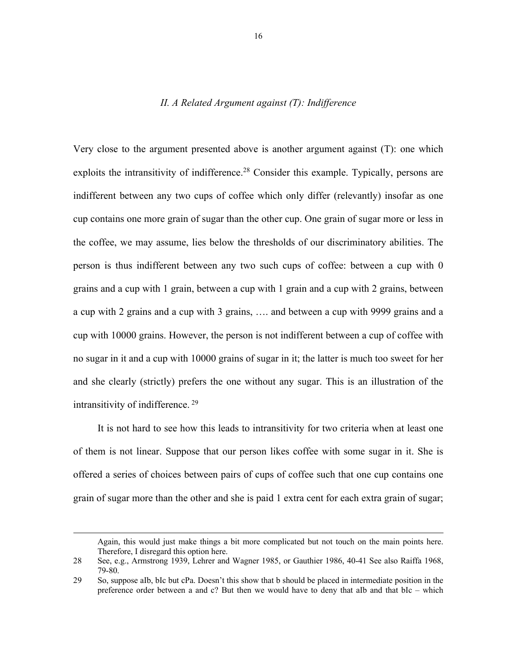## *II. A Related Argument against (T): Indifference*

Very close to the argument presented above is another argument against (T): one which exploits the intransitivity of indifference.<sup>28</sup> Consider this example. Typically, persons are indifferent between any two cups of coffee which only differ (relevantly) insofar as one cup contains one more grain of sugar than the other cup. One grain of sugar more or less in the coffee, we may assume, lies below the thresholds of our discriminatory abilities. The person is thus indifferent between any two such cups of coffee: between a cup with 0 grains and a cup with 1 grain, between a cup with 1 grain and a cup with 2 grains, between a cup with 2 grains and a cup with 3 grains, …. and between a cup with 9999 grains and a cup with 10000 grains. However, the person is not indifferent between a cup of coffee with no sugar in it and a cup with 10000 grains of sugar in it; the latter is much too sweet for her and she clearly (strictly) prefers the one without any sugar. This is an illustration of the intransitivity of indifference. <sup>29</sup>

It is not hard to see how this leads to intransitivity for two criteria when at least one of them is not linear. Suppose that our person likes coffee with some sugar in it. She is offered a series of choices between pairs of cups of coffee such that one cup contains one grain of sugar more than the other and she is paid 1 extra cent for each extra grain of sugar;

Again, this would just make things a bit more complicated but not touch on the main points here. Therefore, I disregard this option here.

<sup>28</sup> See, e.g., Armstrong 1939, Lehrer and Wagner 1985, or Gauthier 1986, 40-41 See also Raiffa 1968, 79-80.

<sup>29</sup> So, suppose aIb, bIc but cPa. Doesn't this show that b should be placed in intermediate position in the preference order between a and c? But then we would have to deny that aIb and that bIc – which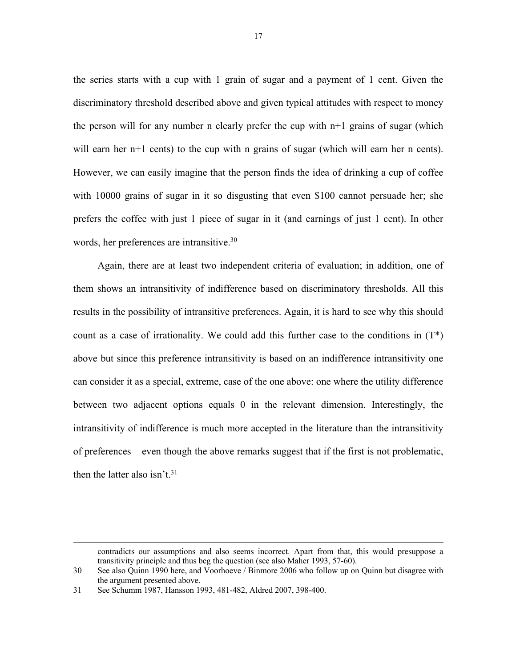the series starts with a cup with 1 grain of sugar and a payment of 1 cent. Given the discriminatory threshold described above and given typical attitudes with respect to money the person will for any number n clearly prefer the cup with  $n+1$  grains of sugar (which will earn her  $n+1$  cents) to the cup with n grains of sugar (which will earn her n cents). However, we can easily imagine that the person finds the idea of drinking a cup of coffee with 10000 grains of sugar in it so disgusting that even \$100 cannot persuade her; she prefers the coffee with just 1 piece of sugar in it (and earnings of just 1 cent). In other words, her preferences are intransitive.<sup>30</sup>

Again, there are at least two independent criteria of evaluation; in addition, one of them shows an intransitivity of indifference based on discriminatory thresholds. All this results in the possibility of intransitive preferences. Again, it is hard to see why this should count as a case of irrationality. We could add this further case to the conditions in  $(T^*)$ above but since this preference intransitivity is based on an indifference intransitivity one can consider it as a special, extreme, case of the one above: one where the utility difference between two adjacent options equals 0 in the relevant dimension. Interestingly, the intransitivity of indifference is much more accepted in the literature than the intransitivity of preferences – even though the above remarks suggest that if the first is not problematic, then the latter also isn't. $31$ 

contradicts our assumptions and also seems incorrect. Apart from that, this would presuppose a transitivity principle and thus beg the question (see also Maher 1993, 57-60).

<sup>30</sup> See also Quinn 1990 here, and Voorhoeve / Binmore 2006 who follow up on Quinn but disagree with the argument presented above.

<sup>31</sup> See Schumm 1987, Hansson 1993, 481-482, Aldred 2007, 398-400.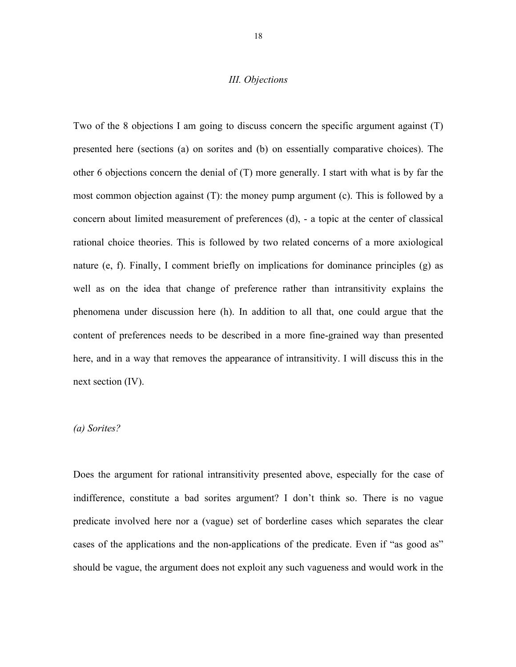#### *III. Objections*

Two of the 8 objections I am going to discuss concern the specific argument against (T) presented here (sections (a) on sorites and (b) on essentially comparative choices). The other 6 objections concern the denial of (T) more generally. I start with what is by far the most common objection against (T): the money pump argument (c). This is followed by a concern about limited measurement of preferences (d), - a topic at the center of classical rational choice theories. This is followed by two related concerns of a more axiological nature (e, f). Finally, I comment briefly on implications for dominance principles (g) as well as on the idea that change of preference rather than intransitivity explains the phenomena under discussion here (h). In addition to all that, one could argue that the content of preferences needs to be described in a more fine-grained way than presented here, and in a way that removes the appearance of intransitivity. I will discuss this in the next section (IV).

#### *(a) Sorites?*

Does the argument for rational intransitivity presented above, especially for the case of indifference, constitute a bad sorites argument? I don't think so. There is no vague predicate involved here nor a (vague) set of borderline cases which separates the clear cases of the applications and the non-applications of the predicate. Even if "as good as" should be vague, the argument does not exploit any such vagueness and would work in the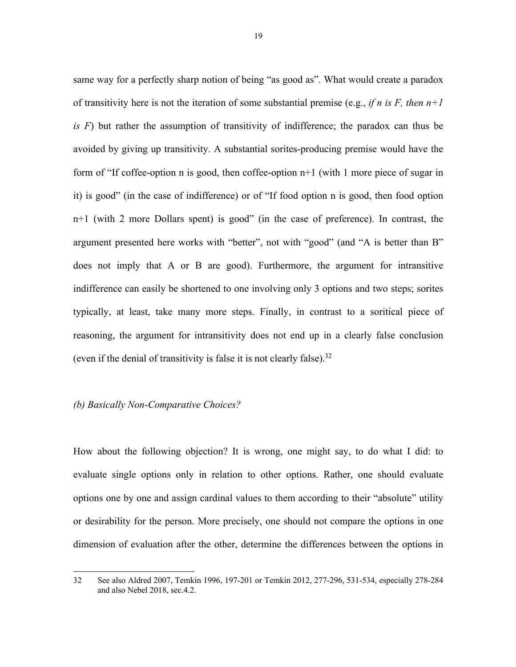same way for a perfectly sharp notion of being "as good as". What would create a paradox of transitivity here is not the iteration of some substantial premise (e.g., *if n is F, then n+1 is F*) but rather the assumption of transitivity of indifference; the paradox can thus be avoided by giving up transitivity. A substantial sorites-producing premise would have the form of "If coffee-option n is good, then coffee-option n+1 (with 1 more piece of sugar in it) is good" (in the case of indifference) or of "If food option n is good, then food option n+1 (with 2 more Dollars spent) is good" (in the case of preference). In contrast, the argument presented here works with "better", not with "good" (and "A is better than B" does not imply that A or B are good). Furthermore, the argument for intransitive indifference can easily be shortened to one involving only 3 options and two steps; sorites typically, at least, take many more steps. Finally, in contrast to a soritical piece of reasoning, the argument for intransitivity does not end up in a clearly false conclusion (even if the denial of transitivity is false it is not clearly false). 32

#### *(b) Basically Non-Comparative Choices?*

How about the following objection? It is wrong, one might say, to do what I did: to evaluate single options only in relation to other options. Rather, one should evaluate options one by one and assign cardinal values to them according to their "absolute" utility or desirability for the person. More precisely, one should not compare the options in one dimension of evaluation after the other, determine the differences between the options in

<sup>32</sup> See also Aldred 2007, Temkin 1996, 197-201 or Temkin 2012, 277-296, 531-534, especially 278-284 and also Nebel 2018, sec.4.2.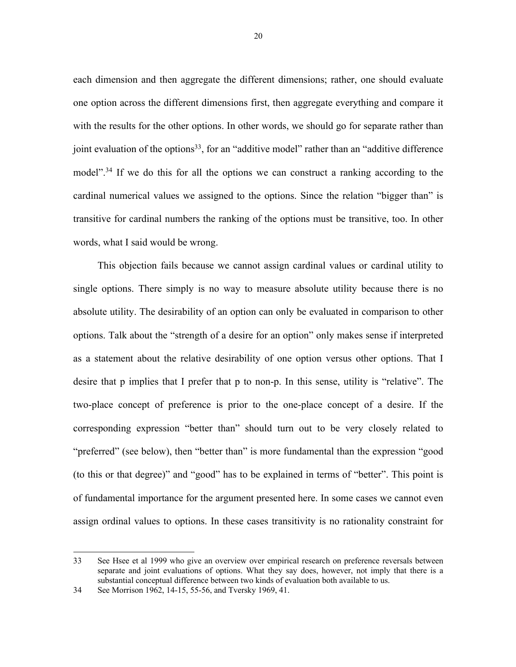each dimension and then aggregate the different dimensions; rather, one should evaluate one option across the different dimensions first, then aggregate everything and compare it with the results for the other options. In other words, we should go for separate rather than joint evaluation of the options<sup>33</sup>, for an "additive model" rather than an "additive difference model".<sup>34</sup> If we do this for all the options we can construct a ranking according to the cardinal numerical values we assigned to the options. Since the relation "bigger than" is transitive for cardinal numbers the ranking of the options must be transitive, too. In other words, what I said would be wrong.

This objection fails because we cannot assign cardinal values or cardinal utility to single options. There simply is no way to measure absolute utility because there is no absolute utility. The desirability of an option can only be evaluated in comparison to other options. Talk about the "strength of a desire for an option" only makes sense if interpreted as a statement about the relative desirability of one option versus other options. That I desire that p implies that I prefer that p to non-p. In this sense, utility is "relative". The two-place concept of preference is prior to the one-place concept of a desire. If the corresponding expression "better than" should turn out to be very closely related to "preferred" (see below), then "better than" is more fundamental than the expression "good (to this or that degree)" and "good" has to be explained in terms of "better". This point is of fundamental importance for the argument presented here. In some cases we cannot even assign ordinal values to options. In these cases transitivity is no rationality constraint for

<sup>33</sup> See Hsee et al 1999 who give an overview over empirical research on preference reversals between separate and joint evaluations of options. What they say does, however, not imply that there is a substantial conceptual difference between two kinds of evaluation both available to us.

<sup>34</sup> See Morrison 1962, 14-15, 55-56, and Tversky 1969, 41.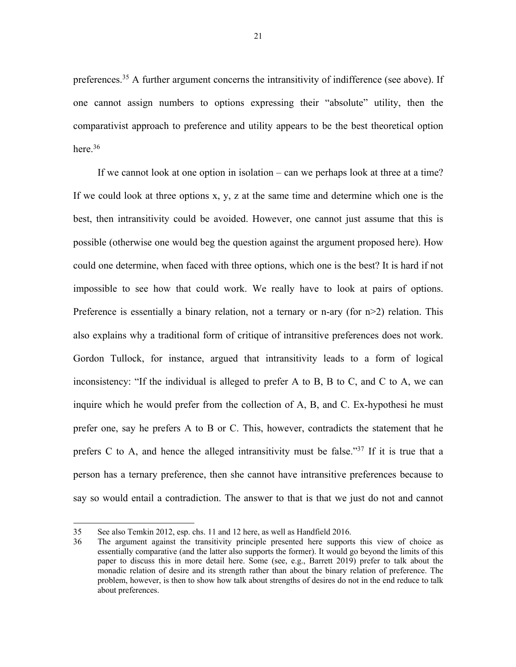preferences.<sup>35</sup> A further argument concerns the intransitivity of indifference (see above). If one cannot assign numbers to options expressing their "absolute" utility, then the comparativist approach to preference and utility appears to be the best theoretical option here.<sup>36</sup>

If we cannot look at one option in isolation – can we perhaps look at three at a time? If we could look at three options x, y, z at the same time and determine which one is the best, then intransitivity could be avoided. However, one cannot just assume that this is possible (otherwise one would beg the question against the argument proposed here). How could one determine, when faced with three options, which one is the best? It is hard if not impossible to see how that could work. We really have to look at pairs of options. Preference is essentially a binary relation, not a ternary or n-ary (for  $n>2$ ) relation. This also explains why a traditional form of critique of intransitive preferences does not work. Gordon Tullock, for instance, argued that intransitivity leads to a form of logical inconsistency: "If the individual is alleged to prefer A to B, B to C, and C to A, we can inquire which he would prefer from the collection of A, B, and C. Ex-hypothesi he must prefer one, say he prefers A to B or C. This, however, contradicts the statement that he prefers C to A, and hence the alleged intransitivity must be false."37 If it is true that a person has a ternary preference, then she cannot have intransitive preferences because to say so would entail a contradiction. The answer to that is that we just do not and cannot

<sup>35</sup> See also Temkin 2012, esp. chs. 11 and 12 here, as well as Handfield 2016.

<sup>36</sup> The argument against the transitivity principle presented here supports this view of choice as essentially comparative (and the latter also supports the former). It would go beyond the limits of this paper to discuss this in more detail here. Some (see, e.g., Barrett 2019) prefer to talk about the monadic relation of desire and its strength rather than about the binary relation of preference. The problem, however, is then to show how talk about strengths of desires do not in the end reduce to talk about preferences.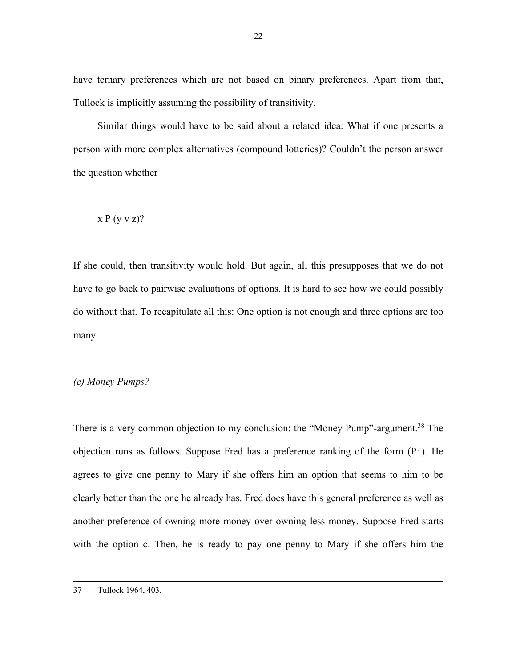have ternary preferences which are not based on binary preferences. Apart from that, Tullock is implicitly assuming the possibility of transitivity.

Similar things would have to be said about a related idea: What if one presents a person with more complex alternatives (compound lotteries)? Couldn't the person answer the question whether

$$
x\mathrel{P}(y\mathrel{v}z)?
$$

If she could, then transitivity would hold. But again, all this presupposes that we do not have to go back to pairwise evaluations of options. It is hard to see how we could possibly do without that. To recapitulate all this: One option is not enough and three options are too many.

## *(c) Money Pumps?*

There is a very common objection to my conclusion: the "Money Pump"-argument.<sup>38</sup> The objection runs as follows. Suppose Fred has a preference ranking of the form  $(P_1)$ . He agrees to give one penny to Mary if she offers him an option that seems to him to be clearly better than the one he already has. Fred does have this general preference as well as another preference of owning more money over owning less money. Suppose Fred starts with the option c. Then, he is ready to pay one penny to Mary if she offers him the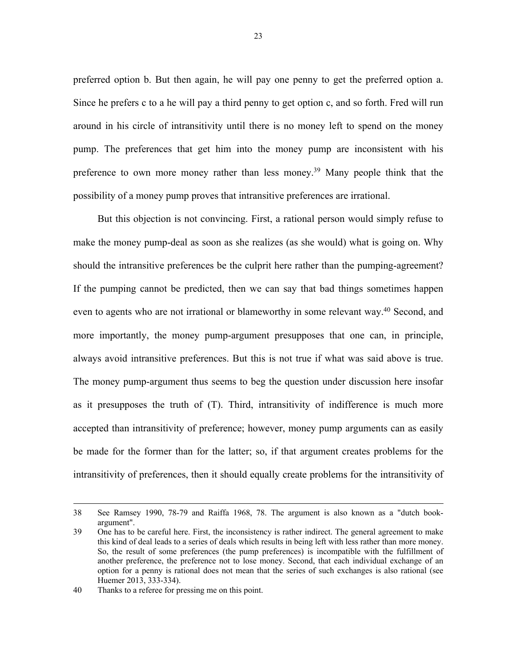preferred option b. But then again, he will pay one penny to get the preferred option a. Since he prefers c to a he will pay a third penny to get option c, and so forth. Fred will run around in his circle of intransitivity until there is no money left to spend on the money pump. The preferences that get him into the money pump are inconsistent with his preference to own more money rather than less money.39 Many people think that the possibility of a money pump proves that intransitive preferences are irrational.

But this objection is not convincing. First, a rational person would simply refuse to make the money pump-deal as soon as she realizes (as she would) what is going on. Why should the intransitive preferences be the culprit here rather than the pumping-agreement? If the pumping cannot be predicted, then we can say that bad things sometimes happen even to agents who are not irrational or blameworthy in some relevant way.<sup>40</sup> Second, and more importantly, the money pump-argument presupposes that one can, in principle, always avoid intransitive preferences. But this is not true if what was said above is true. The money pump-argument thus seems to beg the question under discussion here insofar as it presupposes the truth of (T). Third, intransitivity of indifference is much more accepted than intransitivity of preference; however, money pump arguments can as easily be made for the former than for the latter; so, if that argument creates problems for the intransitivity of preferences, then it should equally create problems for the intransitivity of

<sup>38</sup> See Ramsey 1990, 78-79 and Raiffa 1968, 78. The argument is also known as a "dutch bookargument".

<sup>39</sup> One has to be careful here. First, the inconsistency is rather indirect. The general agreement to make this kind of deal leads to a series of deals which results in being left with less rather than more money. So, the result of some preferences (the pump preferences) is incompatible with the fulfillment of another preference, the preference not to lose money. Second, that each individual exchange of an option for a penny is rational does not mean that the series of such exchanges is also rational (see Huemer 2013, 333-334).

<sup>40</sup> Thanks to a referee for pressing me on this point.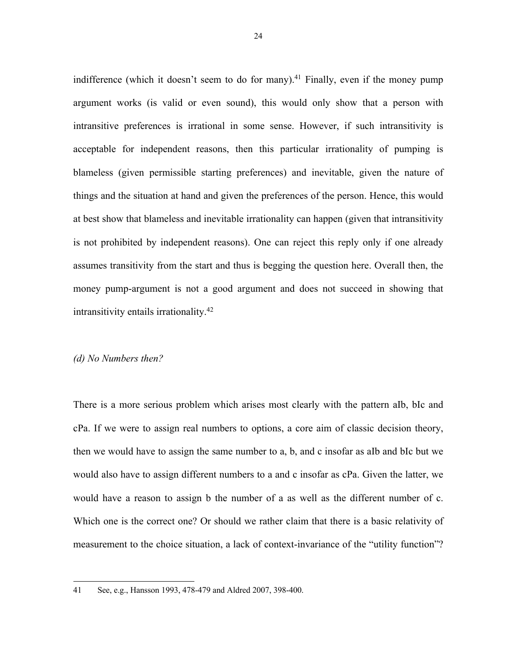indifference (which it doesn't seem to do for many).<sup>41</sup> Finally, even if the money pump argument works (is valid or even sound), this would only show that a person with intransitive preferences is irrational in some sense. However, if such intransitivity is acceptable for independent reasons, then this particular irrationality of pumping is blameless (given permissible starting preferences) and inevitable, given the nature of things and the situation at hand and given the preferences of the person. Hence, this would at best show that blameless and inevitable irrationality can happen (given that intransitivity is not prohibited by independent reasons). One can reject this reply only if one already assumes transitivity from the start and thus is begging the question here. Overall then, the money pump-argument is not a good argument and does not succeed in showing that intransitivity entails irrationality.42

#### *(d) No Numbers then?*

There is a more serious problem which arises most clearly with the pattern aIb, bIc and cPa. If we were to assign real numbers to options, a core aim of classic decision theory, then we would have to assign the same number to a, b, and c insofar as aIb and bIc but we would also have to assign different numbers to a and c insofar as cPa. Given the latter, we would have a reason to assign b the number of a as well as the different number of c. Which one is the correct one? Or should we rather claim that there is a basic relativity of measurement to the choice situation, a lack of context-invariance of the "utility function"?

<sup>41</sup> See, e.g., Hansson 1993, 478-479 and Aldred 2007, 398-400.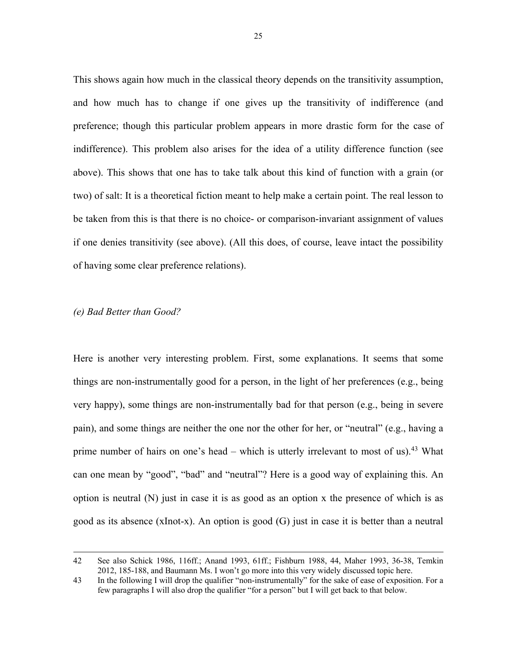This shows again how much in the classical theory depends on the transitivity assumption, and how much has to change if one gives up the transitivity of indifference (and preference; though this particular problem appears in more drastic form for the case of indifference). This problem also arises for the idea of a utility difference function (see above). This shows that one has to take talk about this kind of function with a grain (or two) of salt: It is a theoretical fiction meant to help make a certain point. The real lesson to be taken from this is that there is no choice- or comparison-invariant assignment of values if one denies transitivity (see above). (All this does, of course, leave intact the possibility of having some clear preference relations).

#### *(e) Bad Better than Good?*

Here is another very interesting problem. First, some explanations. It seems that some things are non-instrumentally good for a person, in the light of her preferences (e.g., being very happy), some things are non-instrumentally bad for that person (e.g., being in severe pain), and some things are neither the one nor the other for her, or "neutral" (e.g., having a prime number of hairs on one's head – which is utterly irrelevant to most of us).<sup>43</sup> What can one mean by "good", "bad" and "neutral"? Here is a good way of explaining this. An option is neutral  $(N)$  just in case it is as good as an option x the presence of which is as good as its absence (xInot-x). An option is good (G) just in case it is better than a neutral

<sup>42</sup> See also Schick 1986, 116ff.; Anand 1993, 61ff.; Fishburn 1988, 44, Maher 1993, 36-38, Temkin 2012, 185-188, and Baumann Ms. I won't go more into this very widely discussed topic here.

<sup>43</sup> In the following I will drop the qualifier "non-instrumentally" for the sake of ease of exposition. For a few paragraphs I will also drop the qualifier "for a person" but I will get back to that below.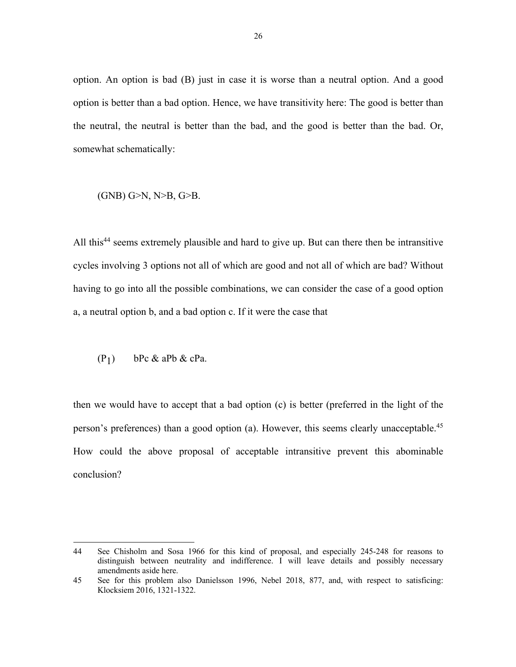option. An option is bad (B) just in case it is worse than a neutral option. And a good option is better than a bad option. Hence, we have transitivity here: The good is better than the neutral, the neutral is better than the bad, and the good is better than the bad. Or, somewhat schematically:

#### (GNB) G>N, N>B, G>B.

All this<sup>44</sup> seems extremely plausible and hard to give up. But can there then be intransitive cycles involving 3 options not all of which are good and not all of which are bad? Without having to go into all the possible combinations, we can consider the case of a good option a, a neutral option b, and a bad option c. If it were the case that

$$
(P_1) \qquad bPc \& aPb \& cPa.
$$

then we would have to accept that a bad option (c) is better (preferred in the light of the person's preferences) than a good option (a). However, this seems clearly unacceptable.45 How could the above proposal of acceptable intransitive prevent this abominable conclusion?

<sup>44</sup> See Chisholm and Sosa 1966 for this kind of proposal, and especially 245-248 for reasons to distinguish between neutrality and indifference. I will leave details and possibly necessary amendments aside here.

<sup>45</sup> See for this problem also Danielsson 1996, Nebel 2018, 877, and, with respect to satisficing: Klocksiem 2016, 1321-1322.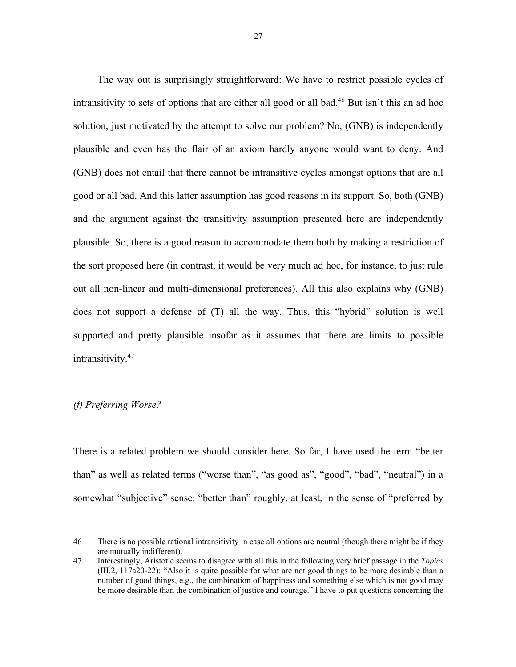The way out is surprisingly straightforward: We have to restrict possible cycles of intransitivity to sets of options that are either all good or all bad.46 But isn't this an ad hoc solution, just motivated by the attempt to solve our problem? No, (GNB) is independently plausible and even has the flair of an axiom hardly anyone would want to deny. And (GNB) does not entail that there cannot be intransitive cycles amongst options that are all good or all bad. And this latter assumption has good reasons in its support. So, both (GNB) and the argument against the transitivity assumption presented here are independently plausible. So, there is a good reason to accommodate them both by making a restriction of the sort proposed here (in contrast, it would be very much ad hoc, for instance, to just rule out all non-linear and multi-dimensional preferences). All this also explains why (GNB) does not support a defense of (T) all the way. Thus, this "hybrid" solution is well supported and pretty plausible insofar as it assumes that there are limits to possible intransitivity. 47

## *(f) Preferring Worse?*

There is a related problem we should consider here. So far, I have used the term "better than" as well as related terms ("worse than", "as good as", "good", "bad", "neutral") in a somewhat "subjective" sense: "better than" roughly, at least, in the sense of "preferred by

<sup>46</sup> There is no possible rational intransitivity in case all options are neutral (though there might be if they are mutually indifferent).

<sup>47</sup> Interestingly, Aristotle seems to disagree with all this in the following very brief passage in the *Topics* (III.2, 117a20-22): "Also it is quite possible for what are not good things to be more desirable than a number of good things, e.g., the combination of happiness and something else which is not good may be more desirable than the combination of justice and courage." I have to put questions concerning the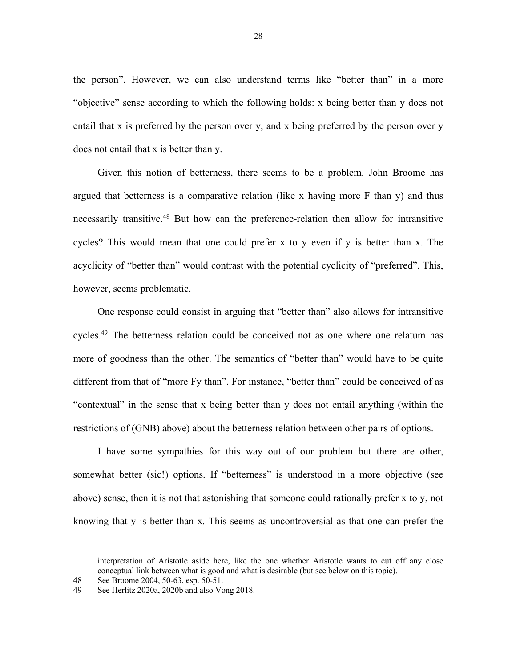the person". However, we can also understand terms like "better than" in a more "objective" sense according to which the following holds: x being better than y does not entail that x is preferred by the person over y, and x being preferred by the person over y does not entail that x is better than y.

Given this notion of betterness, there seems to be a problem. John Broome has argued that betterness is a comparative relation (like x having more  $F$  than  $y$ ) and thus necessarily transitive.48 But how can the preference-relation then allow for intransitive cycles? This would mean that one could prefer x to y even if y is better than x. The acyclicity of "better than" would contrast with the potential cyclicity of "preferred". This, however, seems problematic.

One response could consist in arguing that "better than" also allows for intransitive cycles.49 The betterness relation could be conceived not as one where one relatum has more of goodness than the other. The semantics of "better than" would have to be quite different from that of "more Fy than". For instance, "better than" could be conceived of as "contextual" in the sense that x being better than y does not entail anything (within the restrictions of (GNB) above) about the betterness relation between other pairs of options.

I have some sympathies for this way out of our problem but there are other, somewhat better (sic!) options. If "betterness" is understood in a more objective (see above) sense, then it is not that astonishing that someone could rationally prefer x to y, not knowing that y is better than x. This seems as uncontroversial as that one can prefer the

interpretation of Aristotle aside here, like the one whether Aristotle wants to cut off any close conceptual link between what is good and what is desirable (but see below on this topic).

<sup>48</sup> See Broome 2004, 50-63, esp. 50-51.

<sup>49</sup> See Herlitz 2020a, 2020b and also Vong 2018.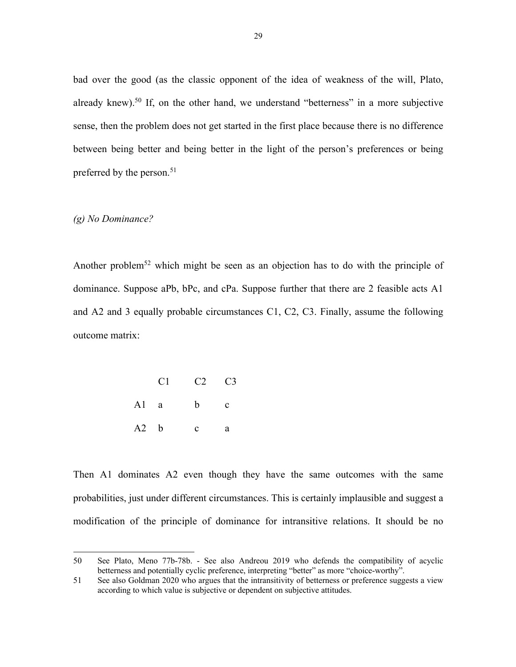bad over the good (as the classic opponent of the idea of weakness of the will, Plato, already knew).<sup>50</sup> If, on the other hand, we understand "betterness" in a more subjective sense, then the problem does not get started in the first place because there is no difference between being better and being better in the light of the person's preferences or being preferred by the person.<sup>51</sup>

#### *(g) No Dominance?*

Another problem<sup>52</sup> which might be seen as an objection has to do with the principle of dominance. Suppose aPb, bPc, and cPa. Suppose further that there are 2 feasible acts A1 and A2 and 3 equally probable circumstances C1, C2, C3. Finally, assume the following outcome matrix:

|      |        | $C1 \t C2 \t C3$ |   |
|------|--------|------------------|---|
|      | $A1$ a | $b$ c            |   |
| A2 b |        | $\mathbf{c}$     | a |

Then A1 dominates A2 even though they have the same outcomes with the same probabilities, just under different circumstances. This is certainly implausible and suggest a modification of the principle of dominance for intransitive relations. It should be no

<sup>50</sup> See Plato, Meno 77b-78b. - See also Andreou 2019 who defends the compatibility of acyclic betterness and potentially cyclic preference, interpreting "better" as more "choice-worthy".

<sup>51</sup> See also Goldman 2020 who argues that the intransitivity of betterness or preference suggests a view according to which value is subjective or dependent on subjective attitudes.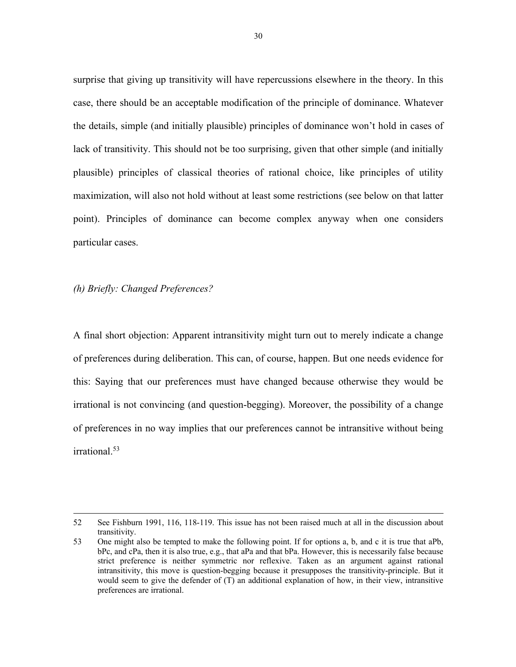surprise that giving up transitivity will have repercussions elsewhere in the theory. In this case, there should be an acceptable modification of the principle of dominance. Whatever the details, simple (and initially plausible) principles of dominance won't hold in cases of lack of transitivity. This should not be too surprising, given that other simple (and initially plausible) principles of classical theories of rational choice, like principles of utility maximization, will also not hold without at least some restrictions (see below on that latter point). Principles of dominance can become complex anyway when one considers particular cases.

#### *(h) Briefly: Changed Preferences?*

A final short objection: Apparent intransitivity might turn out to merely indicate a change of preferences during deliberation. This can, of course, happen. But one needs evidence for this: Saying that our preferences must have changed because otherwise they would be irrational is not convincing (and question-begging). Moreover, the possibility of a change of preferences in no way implies that our preferences cannot be intransitive without being irrational.53

<sup>52</sup> See Fishburn 1991, 116, 118-119. This issue has not been raised much at all in the discussion about transitivity.

<sup>53</sup> One might also be tempted to make the following point. If for options a, b, and c it is true that aPb, bPc, and cPa, then it is also true, e.g., that aPa and that bPa. However, this is necessarily false because strict preference is neither symmetric nor reflexive. Taken as an argument against rational intransitivity, this move is question-begging because it presupposes the transitivity-principle. But it would seem to give the defender of (T) an additional explanation of how, in their view, intransitive preferences are irrational.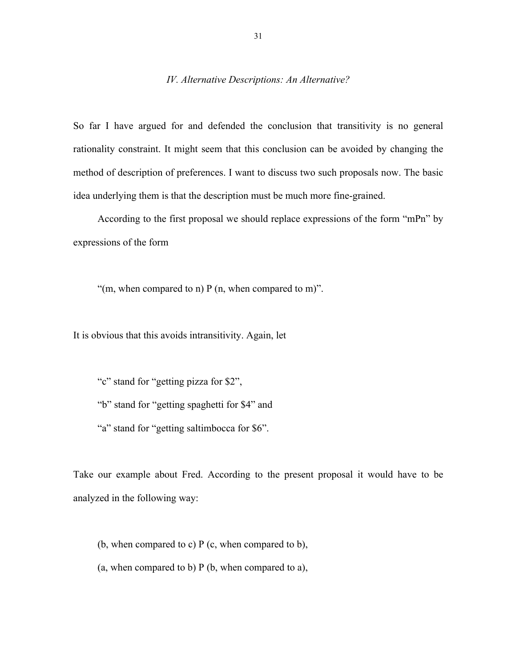## *IV. Alternative Descriptions: An Alternative?*

So far I have argued for and defended the conclusion that transitivity is no general rationality constraint. It might seem that this conclusion can be avoided by changing the method of description of preferences. I want to discuss two such proposals now. The basic idea underlying them is that the description must be much more fine-grained.

According to the first proposal we should replace expressions of the form "mPn" by expressions of the form

"(m, when compared to n)  $P(n,$  when compared to m)".

It is obvious that this avoids intransitivity. Again, let

"c" stand for "getting pizza for \$2", "b" stand for "getting spaghetti for \$4" and "a" stand for "getting saltimbocca for \$6".

Take our example about Fred. According to the present proposal it would have to be analyzed in the following way:

(b, when compared to c)  $P$  (c, when compared to b), (a, when compared to b) P (b, when compared to a),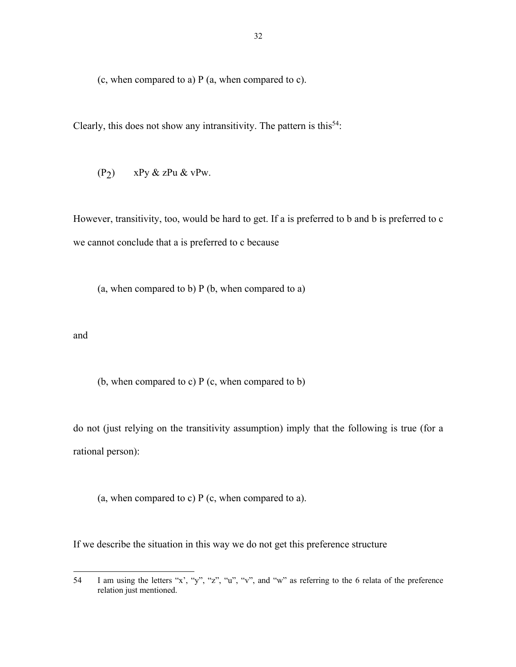(c, when compared to a) P (a, when compared to c).

Clearly, this does not show any intransitivity. The pattern is this<sup>54</sup>:

$$
(P_2) \qquad xPy\ \&\ zPu\ \&\ vPw.
$$

However, transitivity, too, would be hard to get. If a is preferred to b and b is preferred to c we cannot conclude that a is preferred to c because

(a, when compared to b) P (b, when compared to a)

and

(b, when compared to c) P (c, when compared to b)

do not (just relying on the transitivity assumption) imply that the following is true (for a rational person):

(a, when compared to c)  $P$  (c, when compared to a).

If we describe the situation in this way we do not get this preference structure

<sup>54</sup> I am using the letters "x', "y", "z", "u", "v", and "w" as referring to the 6 relata of the preference relation just mentioned.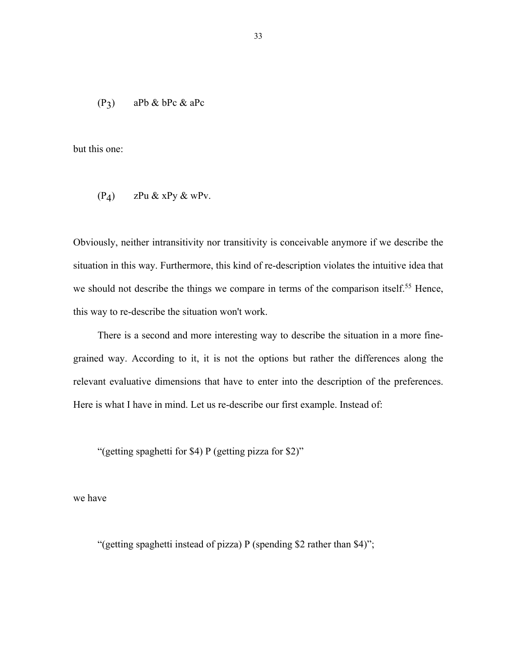$$
(P_3) \qquad aPb \& bPc \& aPc
$$

but this one:

$$
(P_4) \qquad zPu \& xPy \& wPv.
$$

Obviously, neither intransitivity nor transitivity is conceivable anymore if we describe the situation in this way. Furthermore, this kind of re-description violates the intuitive idea that we should not describe the things we compare in terms of the comparison itself.<sup>55</sup> Hence, this way to re-describe the situation won't work.

There is a second and more interesting way to describe the situation in a more finegrained way. According to it, it is not the options but rather the differences along the relevant evaluative dimensions that have to enter into the description of the preferences. Here is what I have in mind. Let us re-describe our first example. Instead of:

"(getting spaghetti for \$4) P (getting pizza for \$2)"

we have

"(getting spaghetti instead of pizza) P (spending \$2 rather than \$4)";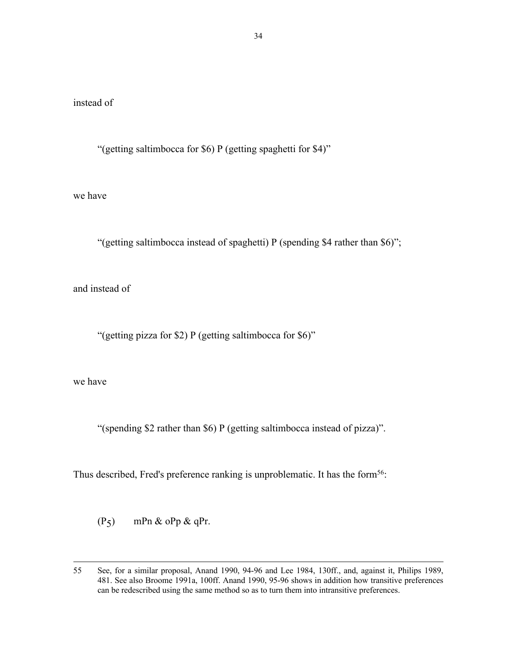## instead of

"(getting saltimbocca for \$6) P (getting spaghetti for \$4)"

we have

"(getting saltimbocca instead of spaghetti) P (spending \$4 rather than \$6)";

and instead of

"(getting pizza for \$2) P (getting saltimbocca for \$6)"

we have

"(spending \$2 rather than \$6) P (getting saltimbocca instead of pizza)".

Thus described, Fred's preference ranking is unproblematic. It has the form<sup>56</sup>:

 $(P_5)$  mPn & oPp & qPr.

<sup>55</sup> See, for a similar proposal, Anand 1990, 94-96 and Lee 1984, 130ff., and, against it, Philips 1989, 481. See also Broome 1991a, 100ff. Anand 1990, 95-96 shows in addition how transitive preferences can be redescribed using the same method so as to turn them into intransitive preferences.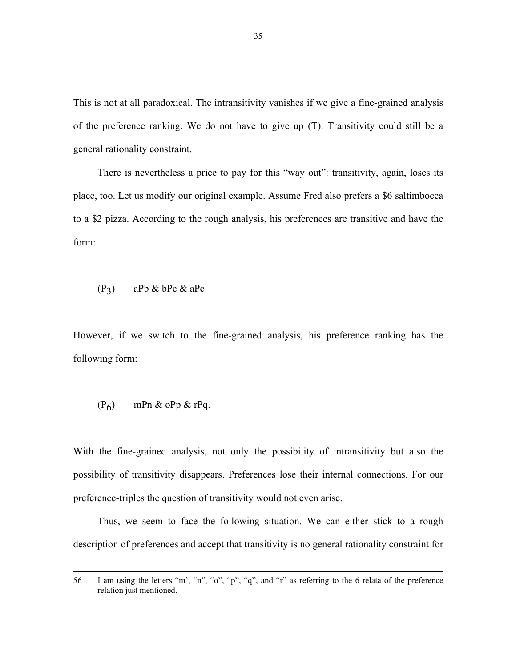This is not at all paradoxical. The intransitivity vanishes if we give a fine-grained analysis of the preference ranking. We do not have to give up (T). Transitivity could still be a general rationality constraint.

There is nevertheless a price to pay for this "way out": transitivity, again, loses its place, too. Let us modify our original example. Assume Fred also prefers a \$6 saltimbocca to a \$2 pizza. According to the rough analysis, his preferences are transitive and have the form:

$$
(P_3) \qquad aPb \& bPc \& aPc
$$

However, if we switch to the fine-grained analysis, his preference ranking has the following form:

$$
(P_6) \qquad mPn \& oPp \& rPq.
$$

With the fine-grained analysis, not only the possibility of intransitivity but also the possibility of transitivity disappears. Preferences lose their internal connections. For our preference-triples the question of transitivity would not even arise.

Thus, we seem to face the following situation. We can either stick to a rough description of preferences and accept that transitivity is no general rationality constraint for

<sup>56</sup> I am using the letters "m', "n", "o", "p", "q", and "r" as referring to the 6 relata of the preference relation just mentioned.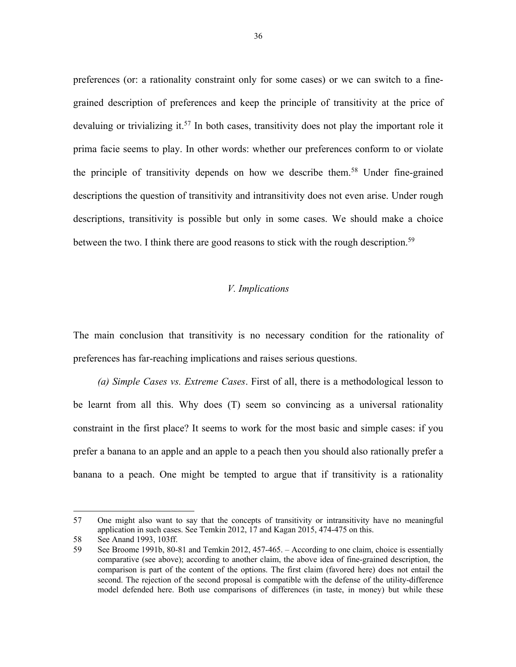preferences (or: a rationality constraint only for some cases) or we can switch to a finegrained description of preferences and keep the principle of transitivity at the price of devaluing or trivializing it.<sup>57</sup> In both cases, transitivity does not play the important role it prima facie seems to play. In other words: whether our preferences conform to or violate the principle of transitivity depends on how we describe them. <sup>58</sup> Under fine-grained descriptions the question of transitivity and intransitivity does not even arise. Under rough descriptions, transitivity is possible but only in some cases. We should make a choice between the two. I think there are good reasons to stick with the rough description.<sup>59</sup>

## *V. Implications*

The main conclusion that transitivity is no necessary condition for the rationality of preferences has far-reaching implications and raises serious questions.

*(a) Simple Cases vs. Extreme Cases*. First of all, there is a methodological lesson to be learnt from all this. Why does (T) seem so convincing as a universal rationality constraint in the first place? It seems to work for the most basic and simple cases: if you prefer a banana to an apple and an apple to a peach then you should also rationally prefer a banana to a peach. One might be tempted to argue that if transitivity is a rationality

<sup>57</sup> One might also want to say that the concepts of transitivity or intransitivity have no meaningful application in such cases. See Temkin 2012, 17 and Kagan 2015, 474-475 on this.

<sup>58</sup> See Anand 1993, 103ff.

<sup>59</sup> See Broome 1991b, 80-81 and Temkin 2012, 457-465. – According to one claim, choice is essentially comparative (see above); according to another claim, the above idea of fine-grained description, the comparison is part of the content of the options. The first claim (favored here) does not entail the second. The rejection of the second proposal is compatible with the defense of the utility-difference model defended here. Both use comparisons of differences (in taste, in money) but while these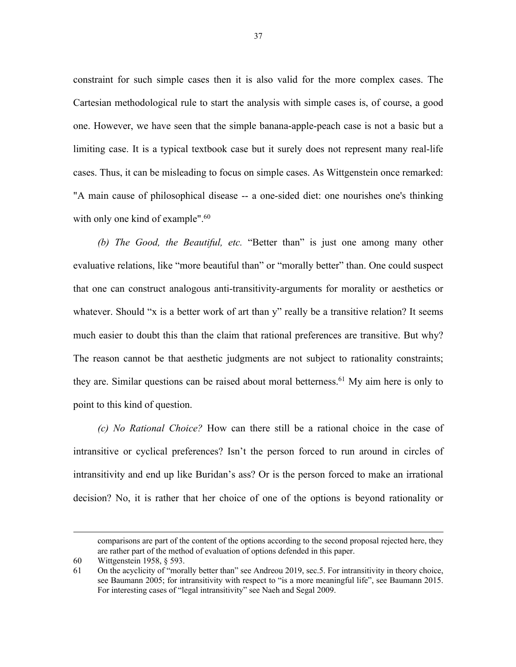constraint for such simple cases then it is also valid for the more complex cases. The Cartesian methodological rule to start the analysis with simple cases is, of course, a good one. However, we have seen that the simple banana-apple-peach case is not a basic but a limiting case. It is a typical textbook case but it surely does not represent many real-life cases. Thus, it can be misleading to focus on simple cases. As Wittgenstein once remarked: "A main cause of philosophical disease -- a one-sided diet: one nourishes one's thinking with only one kind of example".<sup>60</sup>

*(b) The Good, the Beautiful, etc.* "Better than" is just one among many other evaluative relations, like "more beautiful than" or "morally better" than. One could suspect that one can construct analogous anti-transitivity-arguments for morality or aesthetics or whatever. Should "x is a better work of art than y" really be a transitive relation? It seems much easier to doubt this than the claim that rational preferences are transitive. But why? The reason cannot be that aesthetic judgments are not subject to rationality constraints; they are. Similar questions can be raised about moral betterness.<sup>61</sup> My aim here is only to point to this kind of question.

*(c) No Rational Choice?* How can there still be a rational choice in the case of intransitive or cyclical preferences? Isn't the person forced to run around in circles of intransitivity and end up like Buridan's ass? Or is the person forced to make an irrational decision? No, it is rather that her choice of one of the options is beyond rationality or

comparisons are part of the content of the options according to the second proposal rejected here, they are rather part of the method of evaluation of options defended in this paper.

<sup>60</sup> Wittgenstein 1958, § 593.

<sup>61</sup> On the acyclicity of "morally better than" see Andreou 2019, sec.5. For intransitivity in theory choice, see Baumann 2005; for intransitivity with respect to "is a more meaningful life", see Baumann 2015. For interesting cases of "legal intransitivity" see Naeh and Segal 2009.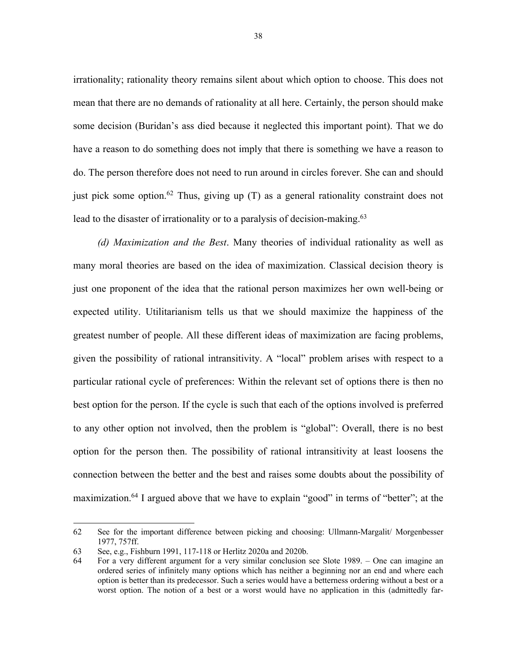irrationality; rationality theory remains silent about which option to choose. This does not mean that there are no demands of rationality at all here. Certainly, the person should make some decision (Buridan's ass died because it neglected this important point). That we do have a reason to do something does not imply that there is something we have a reason to do. The person therefore does not need to run around in circles forever. She can and should just pick some option.<sup>62</sup> Thus, giving up (T) as a general rationality constraint does not lead to the disaster of irrationality or to a paralysis of decision-making.<sup>63</sup>

*(d) Maximization and the Best*. Many theories of individual rationality as well as many moral theories are based on the idea of maximization. Classical decision theory is just one proponent of the idea that the rational person maximizes her own well-being or expected utility. Utilitarianism tells us that we should maximize the happiness of the greatest number of people. All these different ideas of maximization are facing problems, given the possibility of rational intransitivity. A "local" problem arises with respect to a particular rational cycle of preferences: Within the relevant set of options there is then no best option for the person. If the cycle is such that each of the options involved is preferred to any other option not involved, then the problem is "global": Overall, there is no best option for the person then. The possibility of rational intransitivity at least loosens the connection between the better and the best and raises some doubts about the possibility of maximization.<sup>64</sup> I argued above that we have to explain "good" in terms of "better"; at the

<sup>62</sup> See for the important difference between picking and choosing: Ullmann-Margalit/ Morgenbesser 1977, 757ff.

<sup>63</sup> See, e.g., Fishburn 1991, 117-118 or Herlitz 2020a and 2020b.

<sup>64</sup> For a very different argument for a very similar conclusion see Slote 1989. – One can imagine an ordered series of infinitely many options which has neither a beginning nor an end and where each option is better than its predecessor. Such a series would have a betterness ordering without a best or a worst option. The notion of a best or a worst would have no application in this (admittedly far-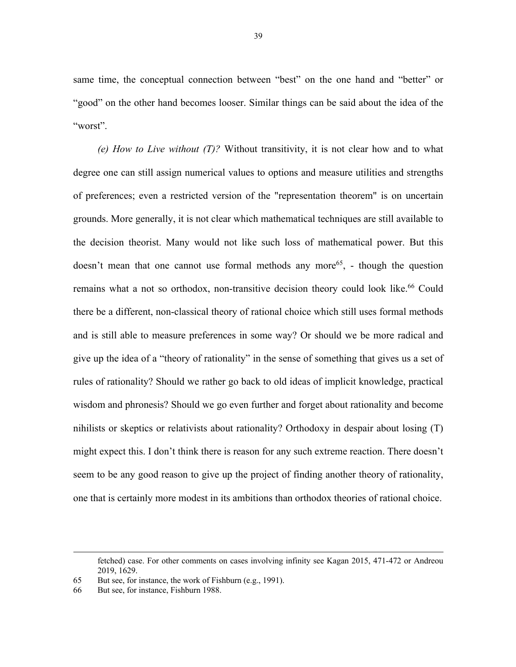same time, the conceptual connection between "best" on the one hand and "better" or "good" on the other hand becomes looser. Similar things can be said about the idea of the "worst".

*(e) How to Live without (T)?* Without transitivity, it is not clear how and to what degree one can still assign numerical values to options and measure utilities and strengths of preferences; even a restricted version of the "representation theorem" is on uncertain grounds. More generally, it is not clear which mathematical techniques are still available to the decision theorist. Many would not like such loss of mathematical power. But this doesn't mean that one cannot use formal methods any more<sup>65</sup>, - though the question remains what a not so orthodox, non-transitive decision theory could look like.<sup>66</sup> Could there be a different, non-classical theory of rational choice which still uses formal methods and is still able to measure preferences in some way? Or should we be more radical and give up the idea of a "theory of rationality" in the sense of something that gives us a set of rules of rationality? Should we rather go back to old ideas of implicit knowledge, practical wisdom and phronesis? Should we go even further and forget about rationality and become nihilists or skeptics or relativists about rationality? Orthodoxy in despair about losing (T) might expect this. I don't think there is reason for any such extreme reaction. There doesn't seem to be any good reason to give up the project of finding another theory of rationality, one that is certainly more modest in its ambitions than orthodox theories of rational choice.

fetched) case. For other comments on cases involving infinity see Kagan 2015, 471-472 or Andreou 2019, 1629.

<sup>65</sup> But see, for instance, the work of Fishburn (e.g., 1991).

<sup>66</sup> But see, for instance, Fishburn 1988.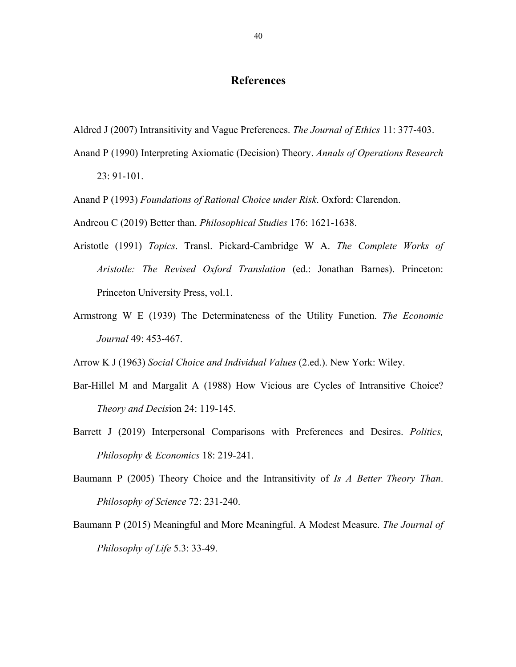## **References**

- Aldred J (2007) Intransitivity and Vague Preferences. *The Journal of Ethics* 11: 377-403.
- Anand P (1990) Interpreting Axiomatic (Decision) Theory. *Annals of Operations Research* 23: 91-101.
- Anand P (1993) *Foundations of Rational Choice under Risk*. Oxford: Clarendon.
- Andreou C (2019) Better than. *Philosophical Studies* 176: 1621-1638.
- Aristotle (1991) *Topics*. Transl. Pickard-Cambridge W A. *The Complete Works of Aristotle: The Revised Oxford Translation* (ed.: Jonathan Barnes). Princeton: Princeton University Press, vol.1.
- Armstrong W E (1939) The Determinateness of the Utility Function. *The Economic Journal* 49: 453-467.

Arrow K J (1963) *Social Choice and Individual Values* (2.ed.). New York: Wiley.

- Bar-Hillel M and Margalit A (1988) How Vicious are Cycles of Intransitive Choice? *Theory and Decis*ion 24: 119-145.
- Barrett J (2019) Interpersonal Comparisons with Preferences and Desires. *Politics, Philosophy & Economics* 18: 219-241.
- Baumann P (2005) Theory Choice and the Intransitivity of *Is A Better Theory Than*. *Philosophy of Science* 72: 231-240.
- Baumann P (2015) Meaningful and More Meaningful. A Modest Measure. *The Journal of Philosophy of Life* 5.3: 33-49.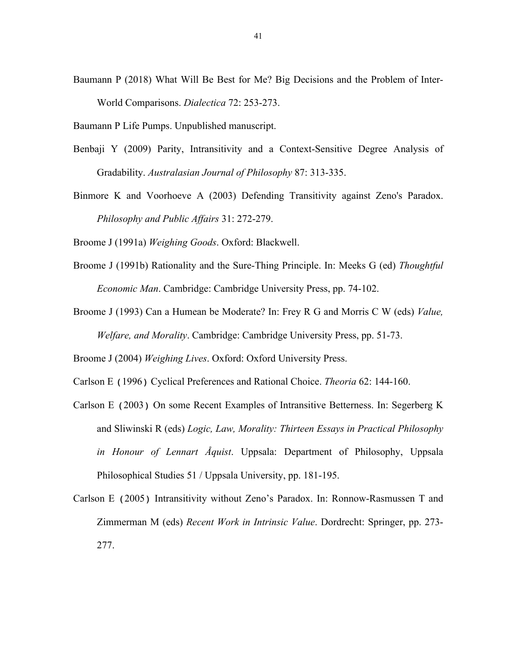Baumann P (2018) What Will Be Best for Me? Big Decisions and the Problem of Inter-World Comparisons. *Dialectica* 72: 253-273.

Baumann P Life Pumps. Unpublished manuscript.

- Benbaji Y (2009) Parity, Intransitivity and a Context-Sensitive Degree Analysis of Gradability. *Australasian Journal of Philosophy* 87: 313-335.
- Binmore K and Voorhoeve A (2003) Defending Transitivity against Zeno's Paradox. *Philosophy and Public Affairs* 31: 272-279.

Broome J (1991a) *Weighing Goods*. Oxford: Blackwell.

- Broome J (1991b) Rationality and the Sure-Thing Principle. In: Meeks G (ed) *Thoughtful Economic Man*. Cambridge: Cambridge University Press, pp. 74-102.
- Broome J (1993) Can a Humean be Moderate? In: Frey R G and Morris C W (eds) *Value, Welfare, and Morality*. Cambridge: Cambridge University Press, pp. 51-73.
- Broome J (2004) *Weighing Lives*. Oxford: Oxford University Press.
- Carlson E (1996) Cyclical Preferences and Rational Choice. *Theoria* 62: 144-160.
- Carlson E (2003) On some Recent Examples of Intransitive Betterness. In: Segerberg K and Sliwinski R (eds) *Logic, Law, Morality: Thirteen Essays in Practical Philosophy in Honour of Lennart Åquist*. Uppsala: Department of Philosophy, Uppsala Philosophical Studies 51 / Uppsala University, pp. 181-195.
- Carlson E (2005) Intransitivity without Zeno's Paradox. In: Ronnow-Rasmussen T and Zimmerman M (eds) *Recent Work in Intrinsic Value*. Dordrecht: Springer, pp. 273- 277.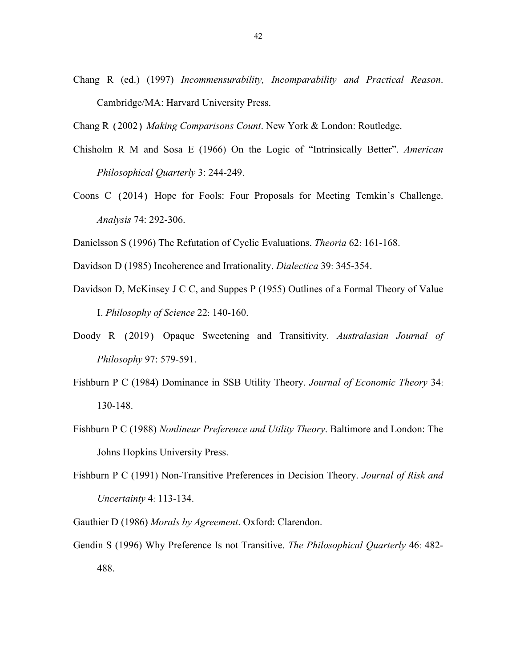Chang R (ed.) (1997) *Incommensurability, Incomparability and Practical Reason*. Cambridge/MA: Harvard University Press.

Chang R (2002) *Making Comparisons Count*. New York & London: Routledge.

- Chisholm R M and Sosa E (1966) On the Logic of "Intrinsically Better". *American Philosophical Quarterly* 3: 244-249.
- Coons C (2014) Hope for Fools: Four Proposals for Meeting Temkin's Challenge. *Analysis* 74: 292-306.
- Danielsson S (1996) The Refutation of Cyclic Evaluations. *Theoria* 62: 161-168.
- Davidson D (1985) Incoherence and Irrationality. *Dialectica* 39: 345-354.
- Davidson D, McKinsey J C C, and Suppes P (1955) Outlines of a Formal Theory of Value I. *Philosophy of Science* 22: 140-160.
- Doody R (2019) Opaque Sweetening and Transitivity. *Australasian Journal of Philosophy* 97: 579-591.
- Fishburn P C (1984) Dominance in SSB Utility Theory. *Journal of Economic Theory* 34: 130-148.
- Fishburn P C (1988) *Nonlinear Preference and Utility Theory*. Baltimore and London: The Johns Hopkins University Press.
- Fishburn P C (1991) Non-Transitive Preferences in Decision Theory. *Journal of Risk and Uncertainty* 4: 113-134.
- Gauthier D (1986) *Morals by Agreement*. Oxford: Clarendon.
- Gendin S (1996) Why Preference Is not Transitive. *The Philosophical Quarterly* 46: 482- 488.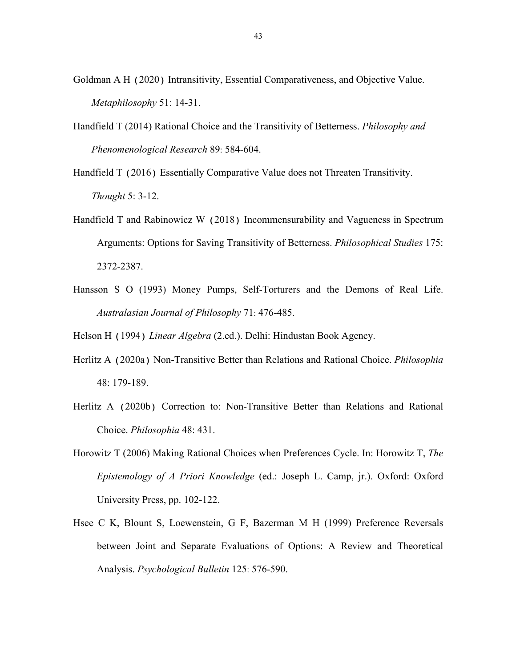- Goldman A H (2020) Intransitivity, Essential Comparativeness, and Objective Value. *Metaphilosophy* 51: 14-31.
- Handfield T (2014) Rational Choice and the Transitivity of Betterness. *Philosophy and Phenomenological Research* 89: 584-604.
- Handfield T (2016) Essentially Comparative Value does not Threaten Transitivity. *Thought* 5: 3-12.
- Handfield T and Rabinowicz W (2018) Incommensurability and Vagueness in Spectrum Arguments: Options for Saving Transitivity of Betterness. *Philosophical Studies* 175: 2372-2387.
- Hansson S O (1993) Money Pumps, Self-Torturers and the Demons of Real Life. *Australasian Journal of Philosophy* 71: 476-485.

Helson H (1994) *Linear Algebra* (2.ed.). Delhi: Hindustan Book Agency.

- Herlitz A (2020a) Non-Transitive Better than Relations and Rational Choice. *Philosophia* 48: 179-189.
- Herlitz A (2020b) Correction to: Non-Transitive Better than Relations and Rational Choice. *Philosophia* 48: 431.
- Horowitz T (2006) Making Rational Choices when Preferences Cycle. In: Horowitz T, *The Epistemology of A Priori Knowledge* (ed.: Joseph L. Camp, jr.). Oxford: Oxford University Press, pp. 102-122.
- Hsee C K, Blount S, Loewenstein, G F, Bazerman M H (1999) Preference Reversals between Joint and Separate Evaluations of Options: A Review and Theoretical Analysis. *Psychological Bulletin* 125: 576-590.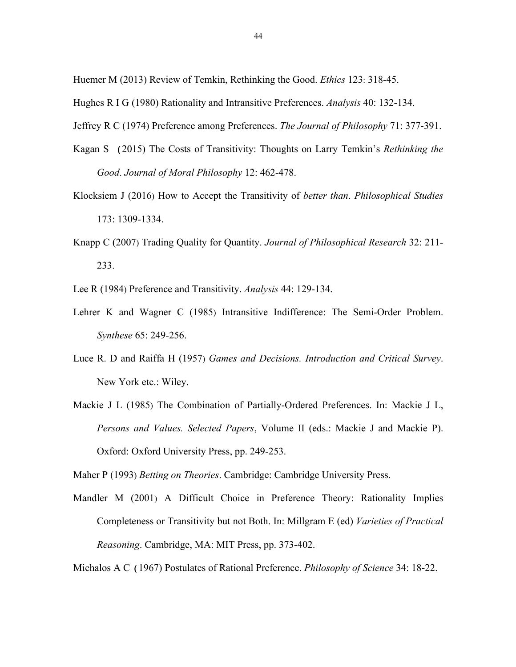Huemer M (2013) Review of Temkin, Rethinking the Good. *Ethics* 123: 318-45.

- Hughes R I G (1980) Rationality and Intransitive Preferences. *Analysis* 40: 132-134.
- Jeffrey R C (1974) Preference among Preferences. *The Journal of Philosophy* 71: 377-391.
- Kagan S (2015) The Costs of Transitivity: Thoughts on Larry Temkin's *Rethinking the Good*. *Journal of Moral Philosophy* 12: 462-478.
- Klocksiem J (2016) How to Accept the Transitivity of *better than*. *Philosophical Studies* 173: 1309-1334.
- Knapp C (2007) Trading Quality for Quantity. *Journal of Philosophical Research* 32: 211- 233.
- Lee R (1984) Preference and Transitivity. *Analysis* 44: 129-134.
- Lehrer K and Wagner C (1985) Intransitive Indifference: The Semi-Order Problem. *Synthese* 65: 249-256.
- Luce R. D and Raiffa H (1957) *Games and Decisions. Introduction and Critical Survey*. New York etc.: Wiley.
- Mackie J L (1985) The Combination of Partially-Ordered Preferences. In: Mackie J L, *Persons and Values. Selected Papers*, Volume II (eds.: Mackie J and Mackie P). Oxford: Oxford University Press, pp. 249-253.

Maher P (1993) *Betting on Theories*. Cambridge: Cambridge University Press.

Mandler M (2001) A Difficult Choice in Preference Theory: Rationality Implies Completeness or Transitivity but not Both. In: Millgram E (ed) *Varieties of Practical Reasoning*. Cambridge, MA: MIT Press, pp. 373-402.

Michalos A C (1967) Postulates of Rational Preference. *Philosophy of Science* 34: 18-22.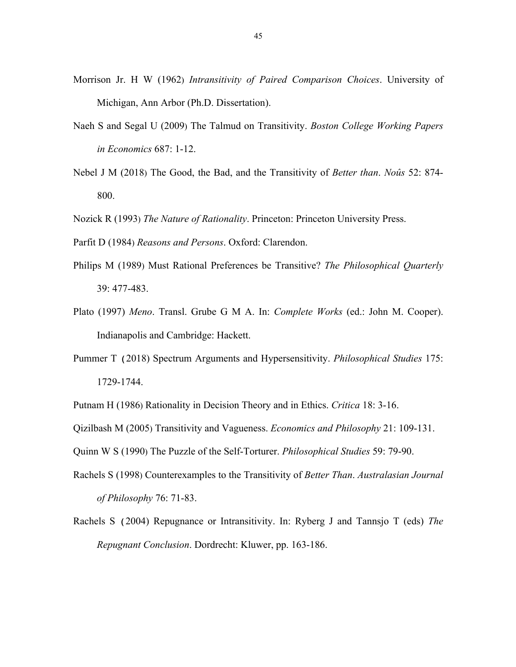- Morrison Jr. H W (1962) *Intransitivity of Paired Comparison Choices*. University of Michigan, Ann Arbor (Ph.D. Dissertation).
- Naeh S and Segal U (2009) The Talmud on Transitivity. *Boston College Working Papers in Economics* 687: 1-12.
- Nebel J M (2018) The Good, the Bad, and the Transitivity of *Better than*. *Noûs* 52: 874- 800.

Nozick R (1993) *The Nature of Rationality*. Princeton: Princeton University Press.

Parfit D (1984) *Reasons and Persons*. Oxford: Clarendon.

- Philips M (1989) Must Rational Preferences be Transitive? *The Philosophical Quarterly*  39: 477-483.
- Plato (1997) *Meno*. Transl. Grube G M A. In: *Complete Works* (ed.: John M. Cooper). Indianapolis and Cambridge: Hackett.
- Pummer T (2018) Spectrum Arguments and Hypersensitivity. *Philosophical Studies* 175: 1729-1744.

Putnam H (1986) Rationality in Decision Theory and in Ethics. *Critica* 18: 3-16.

Qizilbash M (2005) Transitivity and Vagueness. *Economics and Philosophy* 21: 109-131.

Quinn W S (1990) The Puzzle of the Self-Torturer. *Philosophical Studies* 59: 79-90.

- Rachels S (1998) Counterexamples to the Transitivity of *Better Than*. *Australasian Journal of Philosophy* 76: 71-83.
- Rachels S (2004) Repugnance or Intransitivity. In: Ryberg J and Tannsjo T (eds) *The Repugnant Conclusion*. Dordrecht: Kluwer, pp. 163-186.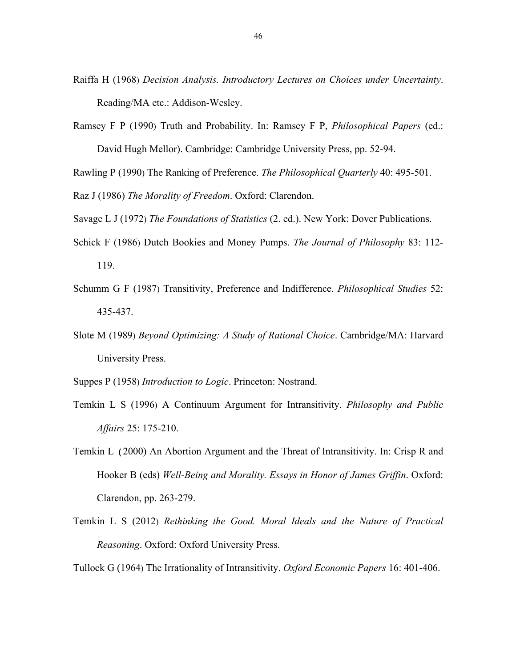- Raiffa H (1968) *Decision Analysis. Introductory Lectures on Choices under Uncertainty*. Reading/MA etc.: Addison-Wesley.
- Ramsey F P (1990) Truth and Probability. In: Ramsey F P, *Philosophical Papers* (ed.: David Hugh Mellor). Cambridge: Cambridge University Press, pp. 52-94.

Rawling P (1990) The Ranking of Preference. *The Philosophical Quarterly* 40: 495-501.

Raz J (1986) *The Morality of Freedom*. Oxford: Clarendon.

Savage L J (1972) *The Foundations of Statistics* (2. ed.). New York: Dover Publications.

- Schick F (1986) Dutch Bookies and Money Pumps. *The Journal of Philosophy* 83: 112- 119.
- Schumm G F (1987) Transitivity, Preference and Indifference. *Philosophical Studies* 52: 435-437.
- Slote M (1989) *Beyond Optimizing: A Study of Rational Choice*. Cambridge/MA: Harvard University Press.

Suppes P (1958) *Introduction to Logic*. Princeton: Nostrand.

- Temkin L S (1996) A Continuum Argument for Intransitivity. *Philosophy and Public Affairs* 25: 175-210.
- Temkin L (2000) An Abortion Argument and the Threat of Intransitivity. In: Crisp R and Hooker B (eds) *Well-Being and Morality. Essays in Honor of James Griffin*. Oxford: Clarendon, pp. 263-279.
- Temkin L S (2012) *Rethinking the Good. Moral Ideals and the Nature of Practical Reasoning*. Oxford: Oxford University Press.

Tullock G (1964) The Irrationality of Intransitivity. *Oxford Economic Papers* 16: 401-406.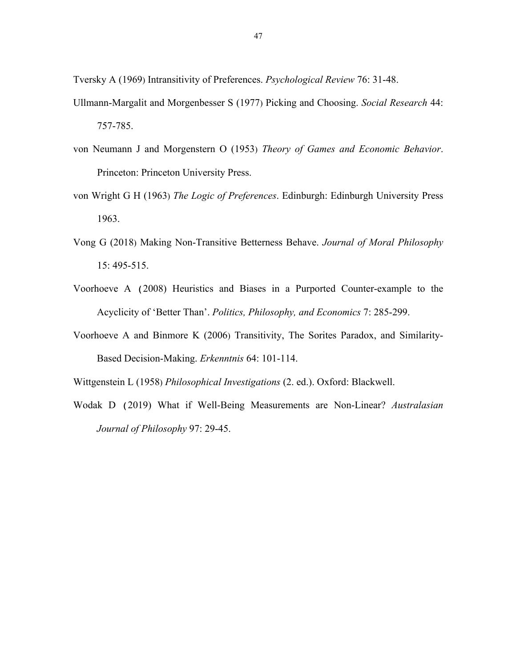Tversky A (1969) Intransitivity of Preferences. *Psychological Review* 76: 31-48.

- Ullmann-Margalit and Morgenbesser S (1977) Picking and Choosing. *Social Research* 44: 757-785.
- von Neumann J and Morgenstern O (1953) *Theory of Games and Economic Behavior*. Princeton: Princeton University Press.
- von Wright G H (1963) *The Logic of Preferences*. Edinburgh: Edinburgh University Press 1963.
- Vong G (2018) Making Non-Transitive Betterness Behave. *Journal of Moral Philosophy* 15: 495-515.
- Voorhoeve A (2008) Heuristics and Biases in a Purported Counter-example to the Acyclicity of 'Better Than'. *Politics, Philosophy, and Economics* 7: 285-299.
- Voorhoeve A and Binmore K (2006) Transitivity, The Sorites Paradox, and Similarity-Based Decision-Making. *Erkenntnis* 64: 101-114.

Wittgenstein L (1958) *Philosophical Investigations* (2. ed.). Oxford: Blackwell.

Wodak D (2019) What if Well-Being Measurements are Non-Linear? *Australasian Journal of Philosophy* 97: 29-45.